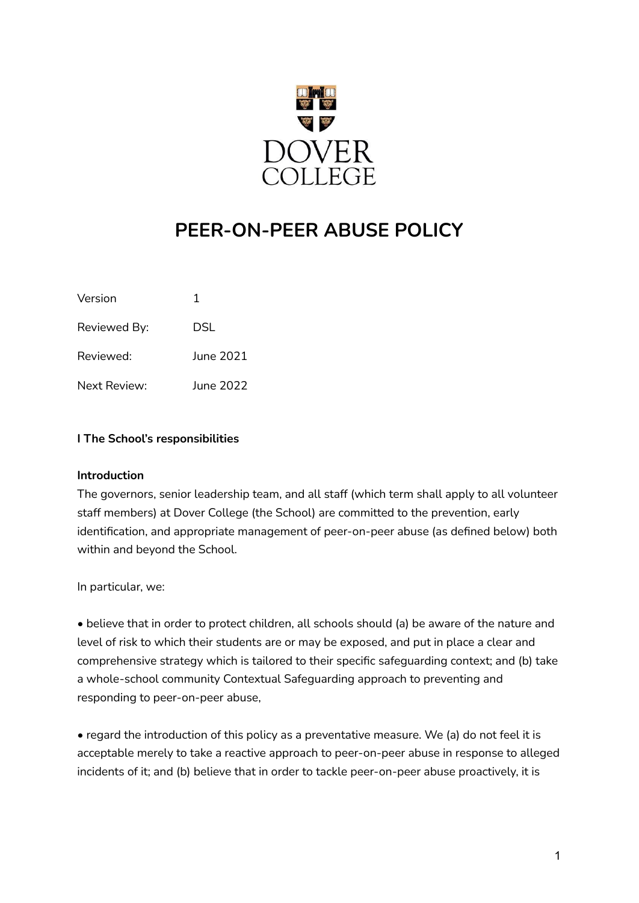

# **PEER-ON-PEER ABUSE POLICY**

| Version      | 1         |
|--------------|-----------|
| Reviewed By: | DSL       |
| Reviewed:    | June 2021 |
| Next Review: | June 2022 |

## **I The School's responsibilities**

#### **Introduction**

The governors, senior leadership team, and all staff (which term shall apply to all volunteer staff members) at Dover College (the School) are committed to the prevention, early identification, and appropriate management of peer-on-peer abuse (as defined below) both within and beyond the School.

In particular, we:

• believe that in order to protect children, all schools should (a) be aware of the nature and level of risk to which their students are or may be exposed, and put in place a clear and comprehensive strategy which is tailored to their specific safeguarding context; and (b) take a whole-school community Contextual Safeguarding approach to preventing and responding to peer-on-peer abuse,

• regard the introduction of this policy as a preventative measure. We (a) do not feel it is acceptable merely to take a reactive approach to peer-on-peer abuse in response to alleged incidents of it; and (b) believe that in order to tackle peer-on-peer abuse proactively, it is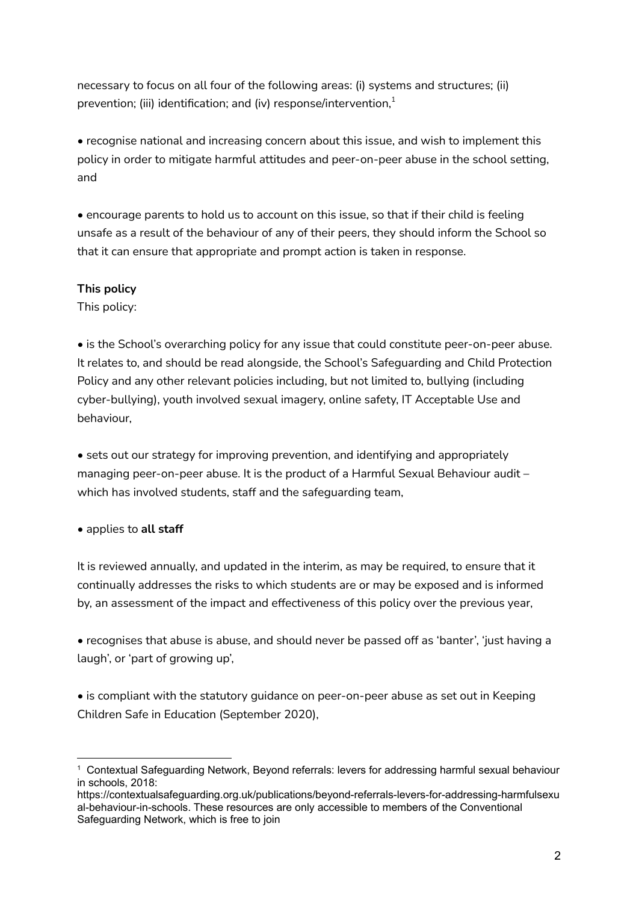necessary to focus on all four of the following areas: (i) systems and structures; (ii) prevention; (iii) identification; and (iv) response/intervention, $^{\rm 1}$ 

• recognise national and increasing concern about this issue, and wish to implement this policy in order to mitigate harmful attitudes and peer-on-peer abuse in the school setting, and

• encourage parents to hold us to account on this issue, so that if their child is feeling unsafe as a result of the behaviour of any of their peers, they should inform the School so that it can ensure that appropriate and prompt action is taken in response.

## **This policy**

This policy:

• is the School's overarching policy for any issue that could constitute peer-on-peer abuse. It relates to, and should be read alongside, the School's Safeguarding and Child Protection Policy and any other relevant policies including, but not limited to, bullying (including cyber-bullying), youth involved sexual imagery, online safety, IT Acceptable Use and behaviour,

• sets out our strategy for improving prevention, and identifying and appropriately managing peer-on-peer abuse. It is the product of a Harmful Sexual Behaviour audit – which has involved students, staff and the safeguarding team,

• applies to **all staff**

It is reviewed annually, and updated in the interim, as may be required, to ensure that it continually addresses the risks to which students are or may be exposed and is informed by, an assessment of the impact and effectiveness of this policy over the previous year,

• recognises that abuse is abuse, and should never be passed off as 'banter', 'just having a laugh', or 'part of growing up',

• is compliant with the statutory guidance on peer-on-peer abuse as set out in Keeping Children Safe in Education (September 2020),

<sup>1</sup> Contextual Safeguarding Network, Beyond referrals: levers for addressing harmful sexual behaviour in schools, 2018:

https://contextualsafeguarding.org.uk/publications/beyond-referrals-levers-for-addressing-harmfulsexu al-behaviour-in-schools. These resources are only accessible to members of the Conventional Safeguarding Network, which is free to join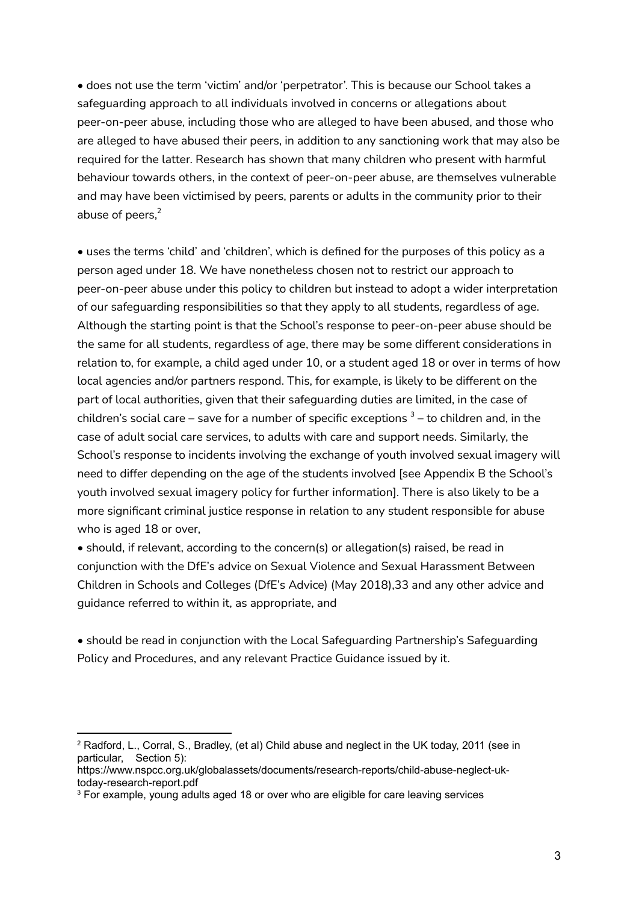• does not use the term 'victim' and/or 'perpetrator'. This is because our School takes a safeguarding approach to all individuals involved in concerns or allegations about peer-on-peer abuse, including those who are alleged to have been abused, and those who are alleged to have abused their peers, in addition to any sanctioning work that may also be required for the latter. Research has shown that many children who present with harmful behaviour towards others, in the context of peer-on-peer abuse, are themselves vulnerable and may have been victimised by peers, parents or adults in the community prior to their abuse of peers,<sup>2</sup>

• uses the terms 'child' and 'children', which is defined for the purposes of this policy as a person aged under 18. We have nonetheless chosen not to restrict our approach to peer-on-peer abuse under this policy to children but instead to adopt a wider interpretation of our safeguarding responsibilities so that they apply to all students, regardless of age. Although the starting point is that the School's response to peer-on-peer abuse should be the same for all students, regardless of age, there may be some different considerations in relation to, for example, a child aged under 10, or a student aged 18 or over in terms of how local agencies and/or partners respond. This, for example, is likely to be different on the part of local authorities, given that their safeguarding duties are limited, in the case of children's social care – save for a number of specific exceptions  $^3$  – to children and, in the case of adult social care services, to adults with care and support needs. Similarly, the School's response to incidents involving the exchange of youth involved sexual imagery will need to differ depending on the age of the students involved [see Appendix B the School's youth involved sexual imagery policy for further information]. There is also likely to be a more significant criminal justice response in relation to any student responsible for abuse who is aged 18 or over,

• should, if relevant, according to the concern(s) or allegation(s) raised, be read in conjunction with the DfE's advice on Sexual Violence and Sexual Harassment Between Children in Schools and Colleges (DfE's Advice) (May 2018),33 and any other advice and guidance referred to within it, as appropriate, and

• should be read in conjunction with the Local Safeguarding Partnership's Safeguarding Policy and Procedures, and any relevant Practice Guidance issued by it.

<sup>2</sup> Radford, L., Corral, S., Bradley, (et al) Child abuse and neglect in the UK today, 2011 (see in particular, Section 5):

https://www.nspcc.org.uk/globalassets/documents/research-reports/child-abuse-neglect-uktoday-research-report.pdf

<sup>&</sup>lt;sup>3</sup> For example, young adults aged 18 or over who are eligible for care leaving services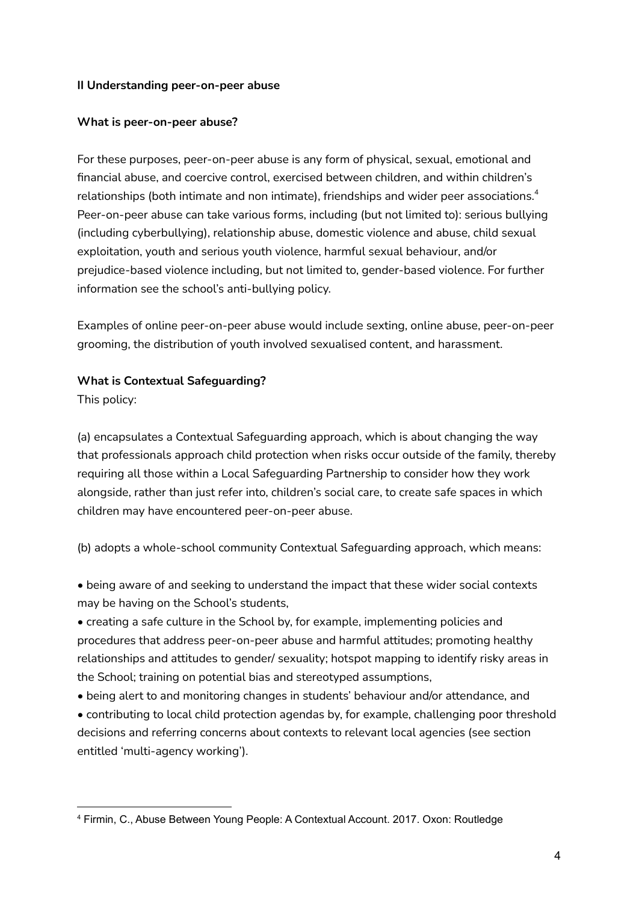## **II Understanding peer-on-peer abuse**

#### **What is peer-on-peer abuse?**

For these purposes, peer-on-peer abuse is any form of physical, sexual, emotional and financial abuse, and coercive control, exercised between children, and within children's relationships (both intimate and non intimate), friendships and wider peer associations. $^{\text{4}}$ Peer-on-peer abuse can take various forms, including (but not limited to): serious bullying (including cyberbullying), relationship abuse, domestic violence and abuse, child sexual exploitation, youth and serious youth violence, harmful sexual behaviour, and/or prejudice-based violence including, but not limited to, gender-based violence. For further information see the school's anti-bullying policy.

Examples of online peer-on-peer abuse would include sexting, online abuse, peer-on-peer grooming, the distribution of youth involved sexualised content, and harassment.

## **What is Contextual Safeguarding?**

This policy:

(a) encapsulates a Contextual Safeguarding approach, which is about changing the way that professionals approach child protection when risks occur outside of the family, thereby requiring all those within a Local Safeguarding Partnership to consider how they work alongside, rather than just refer into, children's social care, to create safe spaces in which children may have encountered peer-on-peer abuse.

(b) adopts a whole-school community Contextual Safeguarding approach, which means:

• being aware of and seeking to understand the impact that these wider social contexts may be having on the School's students,

• creating a safe culture in the School by, for example, implementing policies and procedures that address peer-on-peer abuse and harmful attitudes; promoting healthy relationships and attitudes to gender/ sexuality; hotspot mapping to identify risky areas in the School; training on potential bias and stereotyped assumptions,

• being alert to and monitoring changes in students' behaviour and/or attendance, and

• contributing to local child protection agendas by, for example, challenging poor threshold decisions and referring concerns about contexts to relevant local agencies (see section entitled 'multi-agency working').

<sup>4</sup> Firmin, C., Abuse Between Young People: A Contextual Account. 2017. Oxon: Routledge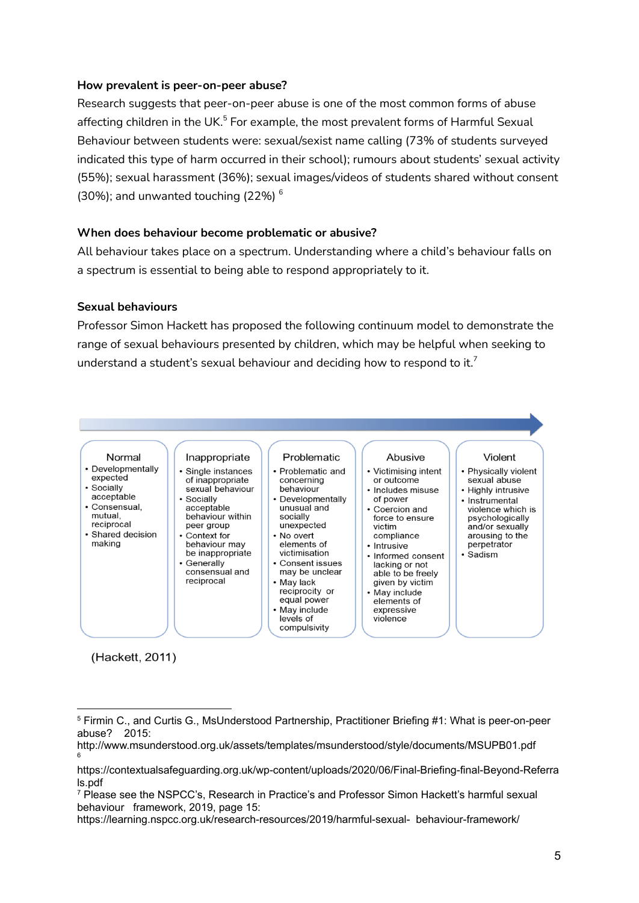#### **How prevalent is peer-on-peer abuse?**

Research suggests that peer-on-peer abuse is one of the most common forms of abuse affecting children in the UK.<sup>5</sup> For example, the most prevalent forms of Harmful Sexual Behaviour between students were: sexual/sexist name calling (73% of students surveyed indicated this type of harm occurred in their school); rumours about students' sexual activity (55%); sexual harassment (36%); sexual images/videos of students shared without consent (30%); and unwanted touching (22%)  $^6$ 

## **When does behaviour become problematic or abusive?**

All behaviour takes place on a spectrum. Understanding where a child's behaviour falls on a spectrum is essential to being able to respond appropriately to it.

#### **Sexual behaviours**

Professor Simon Hackett has proposed the following continuum model to demonstrate the range of sexual behaviours presented by children, which may be helpful when seeking to understand a student's sexual behaviour and deciding how to respond to it.<sup>7</sup>



(Hackett, 2011)

<sup>5</sup> Firmin C., and Curtis G., MsUnderstood Partnership, Practitioner Briefing #1: What is peer-on-peer abuse? 2015:

<sup>6</sup> http://www.msunderstood.org.uk/assets/templates/msunderstood/style/documents/MSUPB01.pdf

https://contextualsafeguarding.org.uk/wp-content/uploads/2020/06/Final-Briefing-final-Beyond-Referra ls.pdf

<sup>7</sup> Please see the NSPCC's, Research in Practice's and Professor Simon Hackett's harmful sexual behaviour framework, 2019, page 15:

https://learning.nspcc.org.uk/research-resources/2019/harmful-sexual- behaviour-framework/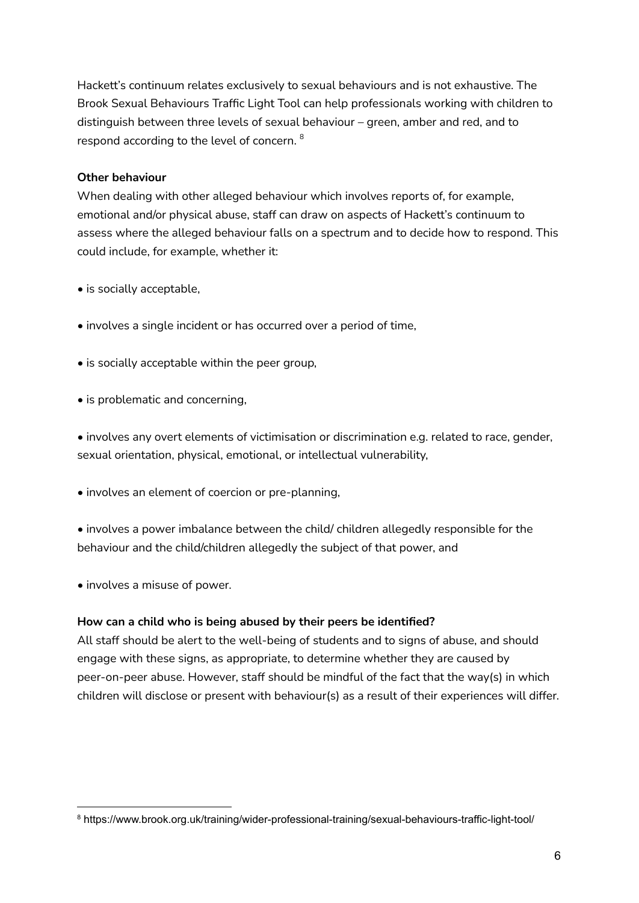Hackett's continuum relates exclusively to sexual behaviours and is not exhaustive. The Brook Sexual Behaviours Traffic Light Tool can help professionals working with children to distinguish between three levels of sexual behaviour – green, amber and red, and to respond according to the level of concern.  $^{\mathrm{8}}$ 

## **Other behaviour**

When dealing with other alleged behaviour which involves reports of, for example, emotional and/or physical abuse, staff can draw on aspects of Hackett's continuum to assess where the alleged behaviour falls on a spectrum and to decide how to respond. This could include, for example, whether it:

- is socially acceptable,
- involves a single incident or has occurred over a period of time,
- is socially acceptable within the peer group,
- is problematic and concerning,

• involves any overt elements of victimisation or discrimination e.g. related to race, gender, sexual orientation, physical, emotional, or intellectual vulnerability,

• involves an element of coercion or pre-planning,

• involves a power imbalance between the child/ children allegedly responsible for the behaviour and the child/children allegedly the subject of that power, and

• involves a misuse of power.

## **How can a child who is being abused by their peers be identified?**

All staff should be alert to the well-being of students and to signs of abuse, and should engage with these signs, as appropriate, to determine whether they are caused by peer-on-peer abuse. However, staff should be mindful of the fact that the way(s) in which children will disclose or present with behaviour(s) as a result of their experiences will differ.

<sup>8</sup> https://www.brook.org.uk/training/wider-professional-training/sexual-behaviours-traffic-light-tool/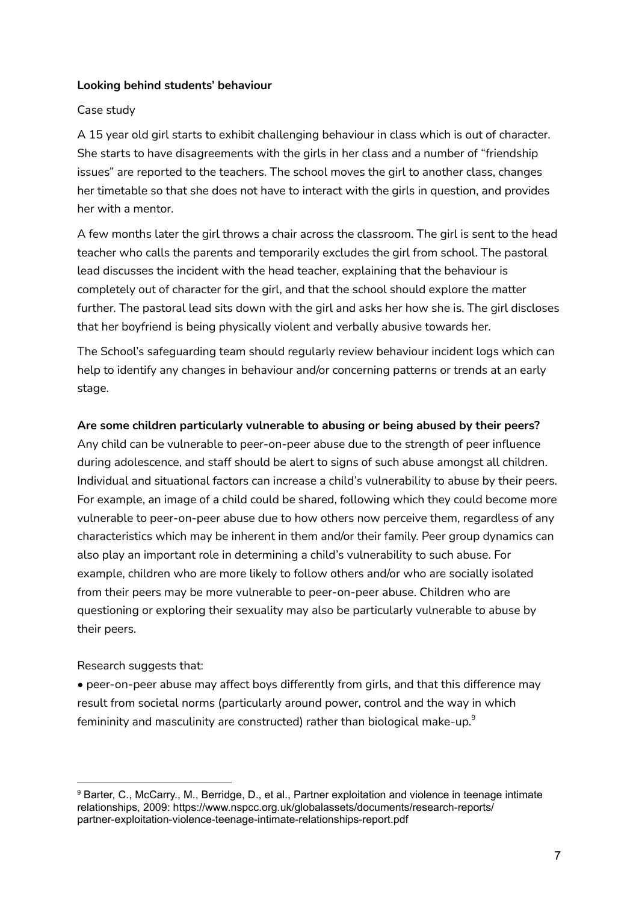#### **Looking behind students' behaviour**

#### Case study

A 15 year old girl starts to exhibit challenging behaviour in class which is out of character. She starts to have disagreements with the girls in her class and a number of "friendship issues" are reported to the teachers. The school moves the girl to another class, changes her timetable so that she does not have to interact with the girls in question, and provides her with a mentor.

A few months later the girl throws a chair across the classroom. The girl is sent to the head teacher who calls the parents and temporarily excludes the girl from school. The pastoral lead discusses the incident with the head teacher, explaining that the behaviour is completely out of character for the girl, and that the school should explore the matter further. The pastoral lead sits down with the girl and asks her how she is. The girl discloses that her boyfriend is being physically violent and verbally abusive towards her.

The School's safeguarding team should regularly review behaviour incident logs which can help to identify any changes in behaviour and/or concerning patterns or trends at an early stage.

#### **Are some children particularly vulnerable to abusing or being abused by their peers?**

Any child can be vulnerable to peer-on-peer abuse due to the strength of peer influence during adolescence, and staff should be alert to signs of such abuse amongst all children. Individual and situational factors can increase a child's vulnerability to abuse by their peers. For example, an image of a child could be shared, following which they could become more vulnerable to peer-on-peer abuse due to how others now perceive them, regardless of any characteristics which may be inherent in them and/or their family. Peer group dynamics can also play an important role in determining a child's vulnerability to such abuse. For example, children who are more likely to follow others and/or who are socially isolated from their peers may be more vulnerable to peer-on-peer abuse. Children who are questioning or exploring their sexuality may also be particularly vulnerable to abuse by their peers.

## Research suggests that:

• peer-on-peer abuse may affect boys differently from girls, and that this difference may result from societal norms (particularly around power, control and the way in which femininity and masculinity are constructed) rather than biological make-up. $^{\rm 9}$ 

<sup>9</sup> Barter, C., McCarry., M., Berridge, D., et al., Partner exploitation and violence in teenage intimate relationships, 2009: https://www.nspcc.org.uk/globalassets/documents/research-reports/ partner-exploitation-violence-teenage-intimate-relationships-report.pdf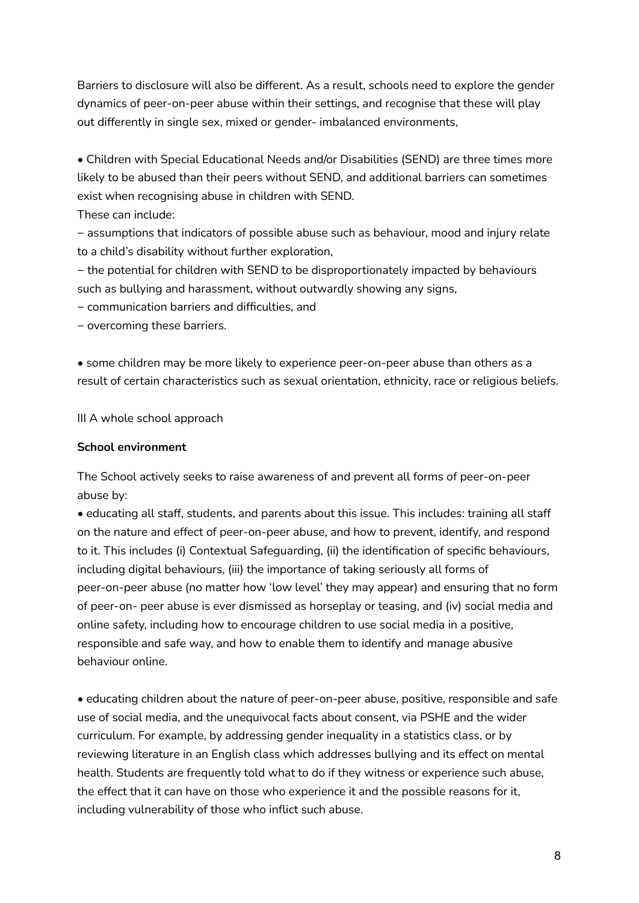Barriers to disclosure will also be different. As a result, schools need to explore the gender dynamics of peer-on-peer abuse within their settings, and recognise that these will play out differently in single sex, mixed or gender- imbalanced environments,

• Children with Special Educational Needs and/or Disabilities (SEND) are three times more likely to be abused than their peers without SEND, and additional barriers can sometimes exist when recognising abuse in children with SEND.

These can include:

− assumptions that indicators of possible abuse such as behaviour, mood and injury relate to a child's disability without further exploration,

− the potential for children with SEND to be disproportionately impacted by behaviours such as bullying and harassment, without outwardly showing any signs,

− communication barriers and difficulties, and

− overcoming these barriers.

• some children may be more likely to experience peer-on-peer abuse than others as a result of certain characteristics such as sexual orientation, ethnicity, race or religious beliefs.

III A whole school approach

## **School environment**

The School actively seeks to raise awareness of and prevent all forms of peer-on-peer abuse by:

• educating all staff, students, and parents about this issue. This includes: training all staff on the nature and effect of peer-on-peer abuse, and how to prevent, identify, and respond to it. This includes (i) Contextual Safeguarding, (ii) the identification of specific behaviours, including digital behaviours, (iii) the importance of taking seriously all forms of peer-on-peer abuse (no matter how 'low level' they may appear) and ensuring that no form of peer-on- peer abuse is ever dismissed as horseplay or teasing, and (iv) social media and online safety, including how to encourage children to use social media in a positive, responsible and safe way, and how to enable them to identify and manage abusive behaviour online.

• educating children about the nature of peer-on-peer abuse, positive, responsible and safe use of social media, and the unequivocal facts about consent, via PSHE and the wider curriculum. For example, by addressing gender inequality in a statistics class, or by reviewing literature in an English class which addresses bullying and its effect on mental health. Students are frequently told what to do if they witness or experience such abuse, the effect that it can have on those who experience it and the possible reasons for it, including vulnerability of those who inflict such abuse.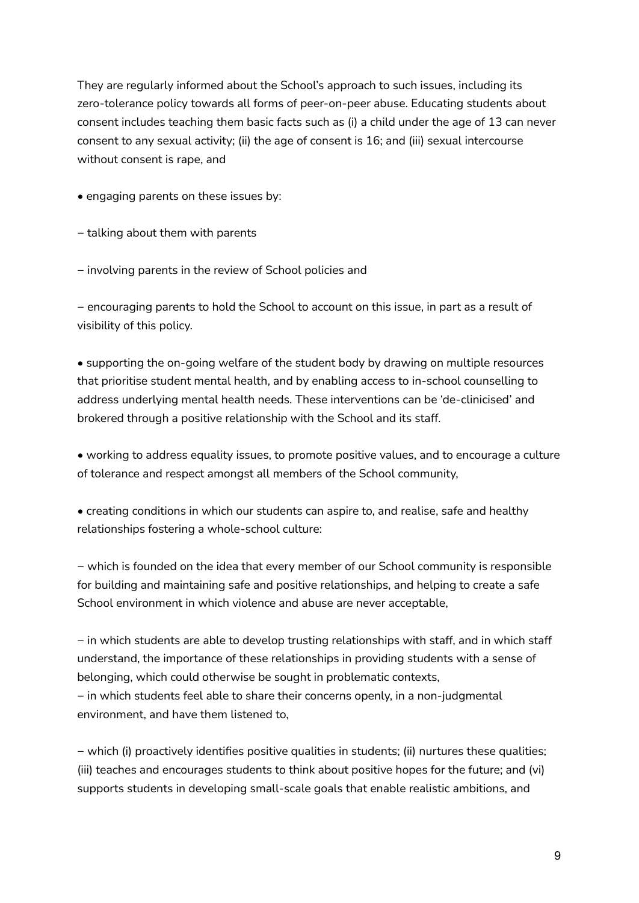They are regularly informed about the School's approach to such issues, including its zero-tolerance policy towards all forms of peer-on-peer abuse. Educating students about consent includes teaching them basic facts such as (i) a child under the age of 13 can never consent to any sexual activity; (ii) the age of consent is 16; and (iii) sexual intercourse without consent is rape, and

- engaging parents on these issues by:
- − talking about them with parents
- − involving parents in the review of School policies and

− encouraging parents to hold the School to account on this issue, in part as a result of visibility of this policy.

• supporting the on-going welfare of the student body by drawing on multiple resources that prioritise student mental health, and by enabling access to in-school counselling to address underlying mental health needs. These interventions can be 'de-clinicised' and brokered through a positive relationship with the School and its staff.

- working to address equality issues, to promote positive values, and to encourage a culture of tolerance and respect amongst all members of the School community,
- creating conditions in which our students can aspire to, and realise, safe and healthy relationships fostering a whole-school culture:

− which is founded on the idea that every member of our School community is responsible for building and maintaining safe and positive relationships, and helping to create a safe School environment in which violence and abuse are never acceptable,

− in which students are able to develop trusting relationships with staff, and in which staff understand, the importance of these relationships in providing students with a sense of belonging, which could otherwise be sought in problematic contexts, − in which students feel able to share their concerns openly, in a non-judgmental environment, and have them listened to,

− which (i) proactively identifies positive qualities in students; (ii) nurtures these qualities; (iii) teaches and encourages students to think about positive hopes for the future; and (vi) supports students in developing small-scale goals that enable realistic ambitions, and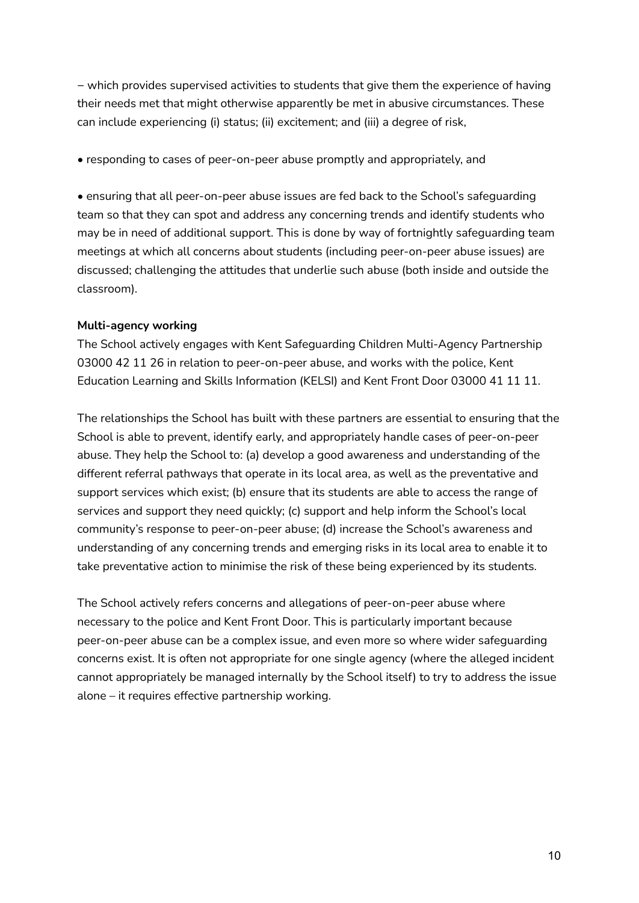− which provides supervised activities to students that give them the experience of having their needs met that might otherwise apparently be met in abusive circumstances. These can include experiencing (i) status; (ii) excitement; and (iii) a degree of risk,

• responding to cases of peer-on-peer abuse promptly and appropriately, and

• ensuring that all peer-on-peer abuse issues are fed back to the School's safeguarding team so that they can spot and address any concerning trends and identify students who may be in need of additional support. This is done by way of fortnightly safeguarding team meetings at which all concerns about students (including peer-on-peer abuse issues) are discussed; challenging the attitudes that underlie such abuse (both inside and outside the classroom).

## **Multi-agency working**

The School actively engages with Kent Safeguarding Children Multi-Agency Partnership 03000 42 11 26 in relation to peer-on-peer abuse, and works with the police, Kent Education Learning and Skills Information (KELSI) and Kent Front Door 03000 41 11 11.

The relationships the School has built with these partners are essential to ensuring that the School is able to prevent, identify early, and appropriately handle cases of peer-on-peer abuse. They help the School to: (a) develop a good awareness and understanding of the different referral pathways that operate in its local area, as well as the preventative and support services which exist; (b) ensure that its students are able to access the range of services and support they need quickly; (c) support and help inform the School's local community's response to peer-on-peer abuse; (d) increase the School's awareness and understanding of any concerning trends and emerging risks in its local area to enable it to take preventative action to minimise the risk of these being experienced by its students.

The School actively refers concerns and allegations of peer-on-peer abuse where necessary to the police and Kent Front Door. This is particularly important because peer-on-peer abuse can be a complex issue, and even more so where wider safeguarding concerns exist. It is often not appropriate for one single agency (where the alleged incident cannot appropriately be managed internally by the School itself) to try to address the issue alone – it requires effective partnership working.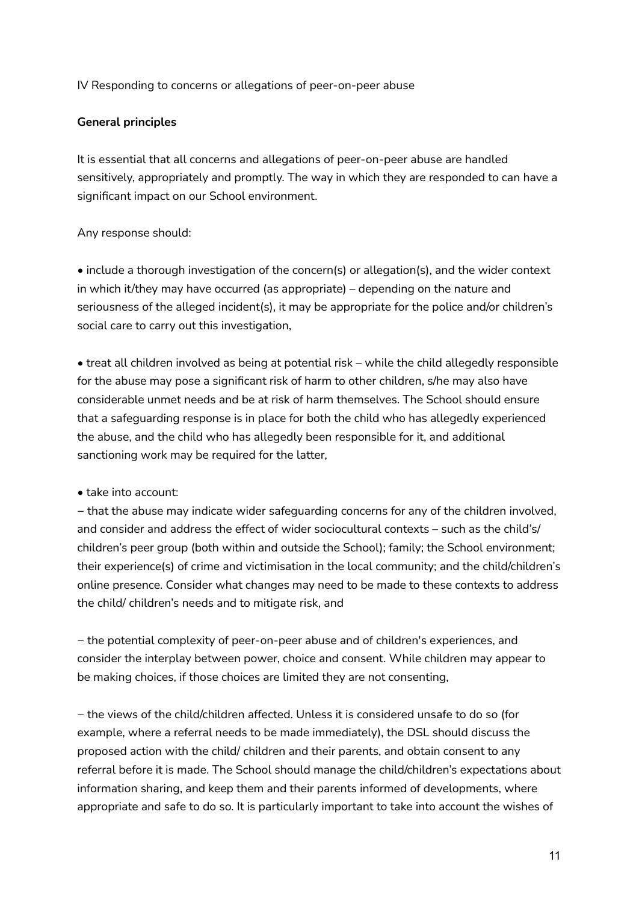IV Responding to concerns or allegations of peer-on-peer abuse

## **General principles**

It is essential that all concerns and allegations of peer-on-peer abuse are handled sensitively, appropriately and promptly. The way in which they are responded to can have a significant impact on our School environment.

## Any response should:

• include a thorough investigation of the concern(s) or allegation(s), and the wider context in which it/they may have occurred (as appropriate) – depending on the nature and seriousness of the alleged incident(s), it may be appropriate for the police and/or children's social care to carry out this investigation,

• treat all children involved as being at potential risk – while the child allegedly responsible for the abuse may pose a significant risk of harm to other children, s/he may also have considerable unmet needs and be at risk of harm themselves. The School should ensure that a safeguarding response is in place for both the child who has allegedly experienced the abuse, and the child who has allegedly been responsible for it, and additional sanctioning work may be required for the latter,

• take into account:

− that the abuse may indicate wider safeguarding concerns for any of the children involved, and consider and address the effect of wider sociocultural contexts – such as the child's/ children's peer group (both within and outside the School); family; the School environment; their experience(s) of crime and victimisation in the local community; and the child/children's online presence. Consider what changes may need to be made to these contexts to address the child/ children's needs and to mitigate risk, and

− the potential complexity of peer-on-peer abuse and of children's experiences, and consider the interplay between power, choice and consent. While children may appear to be making choices, if those choices are limited they are not consenting,

− the views of the child/children affected. Unless it is considered unsafe to do so (for example, where a referral needs to be made immediately), the DSL should discuss the proposed action with the child/ children and their parents, and obtain consent to any referral before it is made. The School should manage the child/children's expectations about information sharing, and keep them and their parents informed of developments, where appropriate and safe to do so. It is particularly important to take into account the wishes of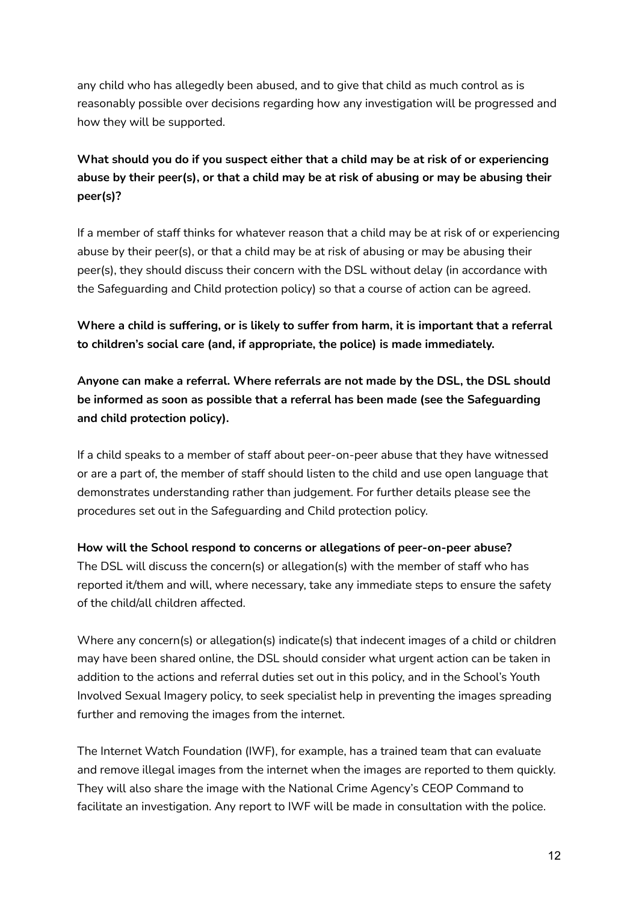any child who has allegedly been abused, and to give that child as much control as is reasonably possible over decisions regarding how any investigation will be progressed and how they will be supported.

# **What should you do if you suspect either that a child may be at risk of or experiencing abuse by their peer(s), or that a child may be at risk of abusing or may be abusing their peer(s)?**

If a member of staff thinks for whatever reason that a child may be at risk of or experiencing abuse by their peer(s), or that a child may be at risk of abusing or may be abusing their peer(s), they should discuss their concern with the DSL without delay (in accordance with the Safeguarding and Child protection policy) so that a course of action can be agreed.

**Where a child is suffering, or is likely to suffer from harm, it is important that a referral to children's social care (and, if appropriate, the police) is made immediately.**

**Anyone can make a referral. Where referrals are not made by the DSL, the DSL should be informed as soon as possible that a referral has been made (see the Safeguarding and child protection policy).**

If a child speaks to a member of staff about peer-on-peer abuse that they have witnessed or are a part of, the member of staff should listen to the child and use open language that demonstrates understanding rather than judgement. For further details please see the procedures set out in the Safeguarding and Child protection policy.

**How will the School respond to concerns or allegations of peer-on-peer abuse?** The DSL will discuss the concern(s) or allegation(s) with the member of staff who has reported it/them and will, where necessary, take any immediate steps to ensure the safety of the child/all children affected.

Where any concern(s) or allegation(s) indicate(s) that indecent images of a child or children may have been shared online, the DSL should consider what urgent action can be taken in addition to the actions and referral duties set out in this policy, and in the School's Youth Involved Sexual Imagery policy, to seek specialist help in preventing the images spreading further and removing the images from the internet.

The Internet Watch Foundation (IWF), for example, has a trained team that can evaluate and remove illegal images from the internet when the images are reported to them quickly. They will also share the image with the National Crime Agency's CEOP Command to facilitate an investigation. Any report to IWF will be made in consultation with the police.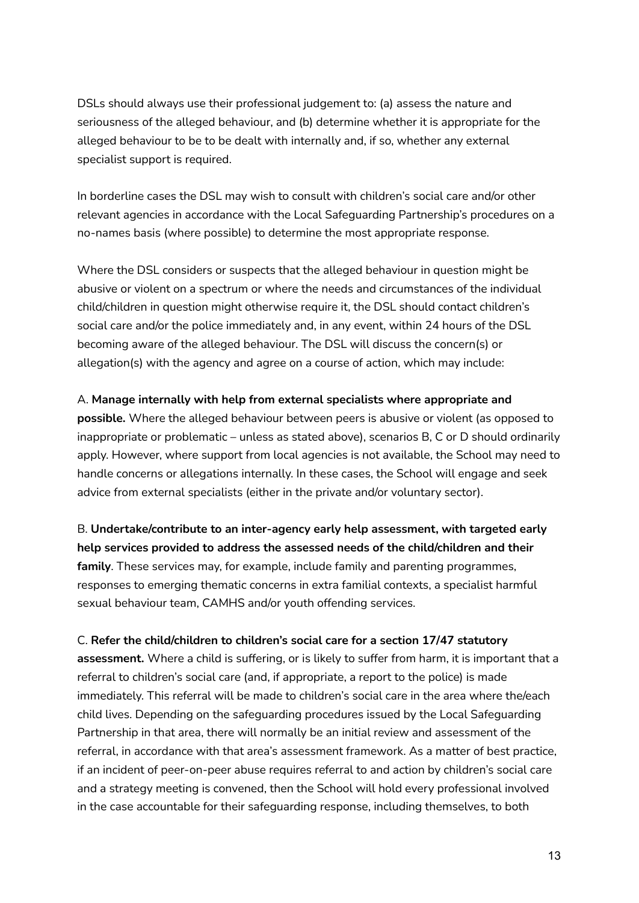DSLs should always use their professional judgement to: (a) assess the nature and seriousness of the alleged behaviour, and (b) determine whether it is appropriate for the alleged behaviour to be to be dealt with internally and, if so, whether any external specialist support is required.

In borderline cases the DSL may wish to consult with children's social care and/or other relevant agencies in accordance with the Local Safeguarding Partnership's procedures on a no-names basis (where possible) to determine the most appropriate response.

Where the DSL considers or suspects that the alleged behaviour in question might be abusive or violent on a spectrum or where the needs and circumstances of the individual child/children in question might otherwise require it, the DSL should contact children's social care and/or the police immediately and, in any event, within 24 hours of the DSL becoming aware of the alleged behaviour. The DSL will discuss the concern(s) or allegation(s) with the agency and agree on a course of action, which may include:

## A. **Manage internally with help from external specialists where appropriate and**

**possible.** Where the alleged behaviour between peers is abusive or violent (as opposed to inappropriate or problematic – unless as stated above), scenarios B, C or D should ordinarily apply. However, where support from local agencies is not available, the School may need to handle concerns or allegations internally. In these cases, the School will engage and seek advice from external specialists (either in the private and/or voluntary sector).

B. **Undertake/contribute to an inter-agency early help assessment, with targeted early help services provided to address the assessed needs of the child/children and their family**. These services may, for example, include family and parenting programmes, responses to emerging thematic concerns in extra familial contexts, a specialist harmful sexual behaviour team, CAMHS and/or youth offending services.

#### C. **Refer the child/children to children's social care for a section 17/47 statutory**

**assessment.** Where a child is suffering, or is likely to suffer from harm, it is important that a referral to children's social care (and, if appropriate, a report to the police) is made immediately. This referral will be made to children's social care in the area where the/each child lives. Depending on the safeguarding procedures issued by the Local Safeguarding Partnership in that area, there will normally be an initial review and assessment of the referral, in accordance with that area's assessment framework. As a matter of best practice, if an incident of peer-on-peer abuse requires referral to and action by children's social care and a strategy meeting is convened, then the School will hold every professional involved in the case accountable for their safeguarding response, including themselves, to both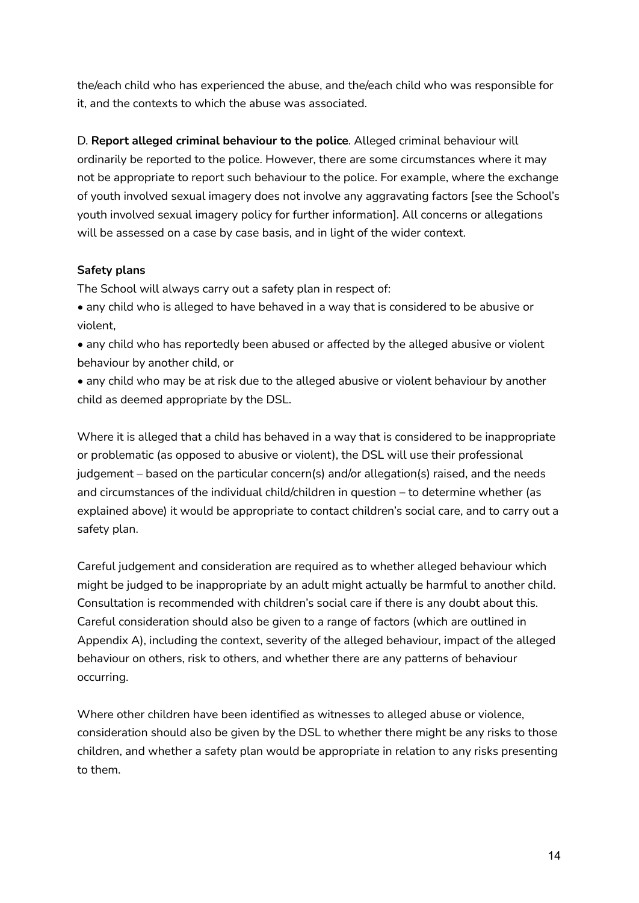the/each child who has experienced the abuse, and the/each child who was responsible for it, and the contexts to which the abuse was associated.

D. **Report alleged criminal behaviour to the police**. Alleged criminal behaviour will ordinarily be reported to the police. However, there are some circumstances where it may not be appropriate to report such behaviour to the police. For example, where the exchange of youth involved sexual imagery does not involve any aggravating factors [see the School's youth involved sexual imagery policy for further information]. All concerns or allegations will be assessed on a case by case basis, and in light of the wider context.

## **Safety plans**

The School will always carry out a safety plan in respect of:

• any child who is alleged to have behaved in a way that is considered to be abusive or violent,

• any child who has reportedly been abused or affected by the alleged abusive or violent behaviour by another child, or

• any child who may be at risk due to the alleged abusive or violent behaviour by another child as deemed appropriate by the DSL.

Where it is alleged that a child has behaved in a way that is considered to be inappropriate or problematic (as opposed to abusive or violent), the DSL will use their professional judgement – based on the particular concern(s) and/or allegation(s) raised, and the needs and circumstances of the individual child/children in question – to determine whether (as explained above) it would be appropriate to contact children's social care, and to carry out a safety plan.

Careful judgement and consideration are required as to whether alleged behaviour which might be judged to be inappropriate by an adult might actually be harmful to another child. Consultation is recommended with children's social care if there is any doubt about this. Careful consideration should also be given to a range of factors (which are outlined in Appendix A), including the context, severity of the alleged behaviour, impact of the alleged behaviour on others, risk to others, and whether there are any patterns of behaviour occurring.

Where other children have been identified as witnesses to alleged abuse or violence, consideration should also be given by the DSL to whether there might be any risks to those children, and whether a safety plan would be appropriate in relation to any risks presenting to them.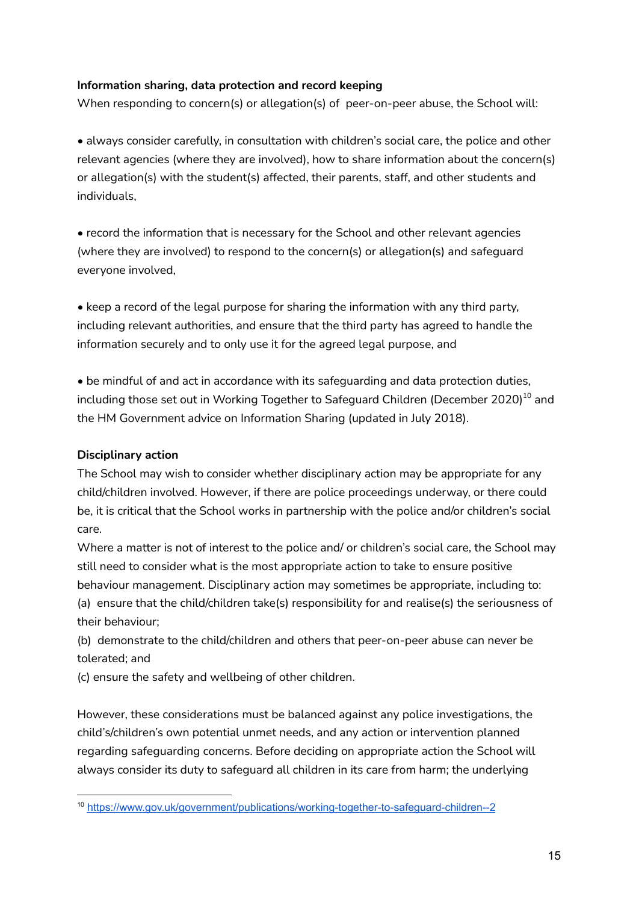## **Information sharing, data protection and record keeping**

When responding to concern(s) or allegation(s) of peer-on-peer abuse, the School will:

• always consider carefully, in consultation with children's social care, the police and other relevant agencies (where they are involved), how to share information about the concern(s) or allegation(s) with the student(s) affected, their parents, staff, and other students and individuals,

• record the information that is necessary for the School and other relevant agencies (where they are involved) to respond to the concern(s) or allegation(s) and safeguard everyone involved,

• keep a record of the legal purpose for sharing the information with any third party, including relevant authorities, and ensure that the third party has agreed to handle the information securely and to only use it for the agreed legal purpose, and

• be mindful of and act in accordance with its safeguarding and data protection duties, including those set out in Working Together to Safeguard Children (December 2020) $^{\rm 10}$  and the HM Government advice on Information Sharing (updated in July 2018).

## **Disciplinary action**

The School may wish to consider whether disciplinary action may be appropriate for any child/children involved. However, if there are police proceedings underway, or there could be, it is critical that the School works in partnership with the police and/or children's social care.

Where a matter is not of interest to the police and/ or children's social care, the School may still need to consider what is the most appropriate action to take to ensure positive behaviour management. Disciplinary action may sometimes be appropriate, including to: (a) ensure that the child/children take(s) responsibility for and realise(s) the seriousness of their behaviour;

(b) demonstrate to the child/children and others that peer-on-peer abuse can never be tolerated; and

(c) ensure the safety and wellbeing of other children.

However, these considerations must be balanced against any police investigations, the child's/children's own potential unmet needs, and any action or intervention planned regarding safeguarding concerns. Before deciding on appropriate action the School will always consider its duty to safeguard all children in its care from harm; the underlying

<sup>10</sup> <https://www.gov.uk/government/publications/working-together-to-safeguard-children--2>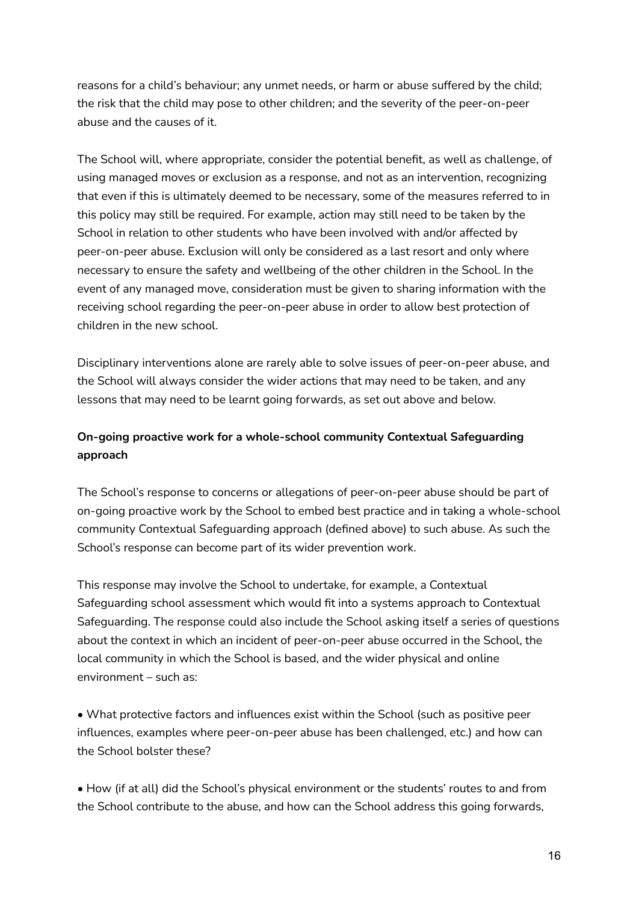reasons for a child's behaviour; any unmet needs, or harm or abuse suffered by the child; the risk that the child may pose to other children; and the severity of the peer-on-peer abuse and the causes of it.

The School will, where appropriate, consider the potential benefit, as well as challenge, of using managed moves or exclusion as a response, and not as an intervention, recognizing that even if this is ultimately deemed to be necessary, some of the measures referred to in this policy may still be required. For example, action may still need to be taken by the School in relation to other students who have been involved with and/or affected by peer-on-peer abuse. Exclusion will only be considered as a last resort and only where necessary to ensure the safety and wellbeing of the other children in the School. In the event of any managed move, consideration must be given to sharing information with the receiving school regarding the peer-on-peer abuse in order to allow best protection of children in the new school.

Disciplinary interventions alone are rarely able to solve issues of peer-on-peer abuse, and the School will always consider the wider actions that may need to be taken, and any lessons that may need to be learnt going forwards, as set out above and below.

# **On-going proactive work for a whole-school community Contextual Safeguarding approach**

The School's response to concerns or allegations of peer-on-peer abuse should be part of on-going proactive work by the School to embed best practice and in taking a whole-school community Contextual Safeguarding approach (defined above) to such abuse. As such the School's response can become part of its wider prevention work.

This response may involve the School to undertake, for example, a Contextual Safeguarding school assessment which would fit into a systems approach to Contextual Safeguarding. The response could also include the School asking itself a series of questions about the context in which an incident of peer-on-peer abuse occurred in the School, the local community in which the School is based, and the wider physical and online environment – such as:

• What protective factors and influences exist within the School (such as positive peer influences, examples where peer-on-peer abuse has been challenged, etc.) and how can the School bolster these?

• How (if at all) did the School's physical environment or the students' routes to and from the School contribute to the abuse, and how can the School address this going forwards,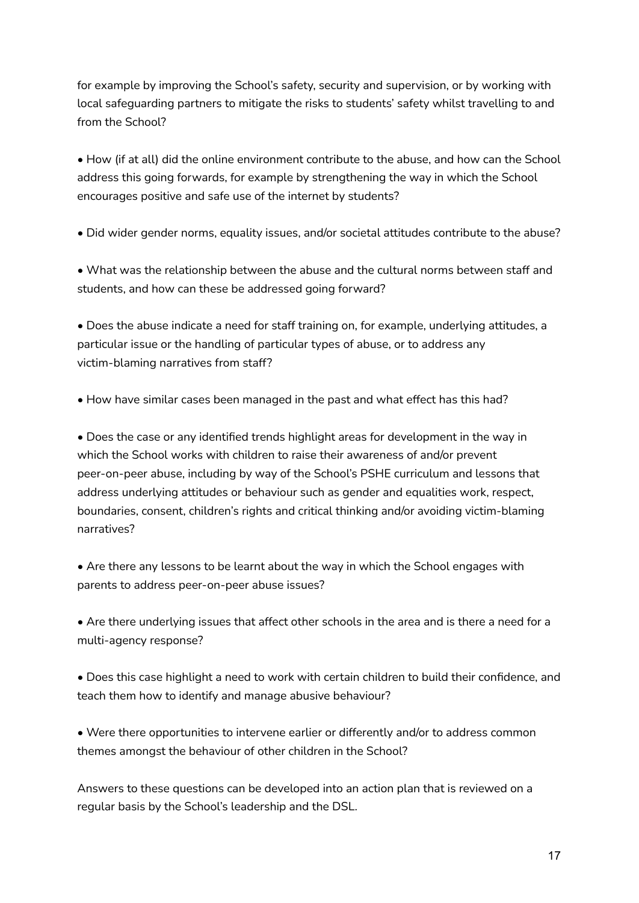for example by improving the School's safety, security and supervision, or by working with local safeguarding partners to mitigate the risks to students' safety whilst travelling to and from the School?

• How (if at all) did the online environment contribute to the abuse, and how can the School address this going forwards, for example by strengthening the way in which the School encourages positive and safe use of the internet by students?

• Did wider gender norms, equality issues, and/or societal attitudes contribute to the abuse?

• What was the relationship between the abuse and the cultural norms between staff and students, and how can these be addressed going forward?

• Does the abuse indicate a need for staff training on, for example, underlying attitudes, a particular issue or the handling of particular types of abuse, or to address any victim-blaming narratives from staff?

• How have similar cases been managed in the past and what effect has this had?

• Does the case or any identified trends highlight areas for development in the way in which the School works with children to raise their awareness of and/or prevent peer-on-peer abuse, including by way of the School's PSHE curriculum and lessons that address underlying attitudes or behaviour such as gender and equalities work, respect, boundaries, consent, children's rights and critical thinking and/or avoiding victim-blaming narratives?

• Are there any lessons to be learnt about the way in which the School engages with parents to address peer-on-peer abuse issues?

• Are there underlying issues that affect other schools in the area and is there a need for a multi-agency response?

• Does this case highlight a need to work with certain children to build their confidence, and teach them how to identify and manage abusive behaviour?

• Were there opportunities to intervene earlier or differently and/or to address common themes amongst the behaviour of other children in the School?

Answers to these questions can be developed into an action plan that is reviewed on a regular basis by the School's leadership and the DSL.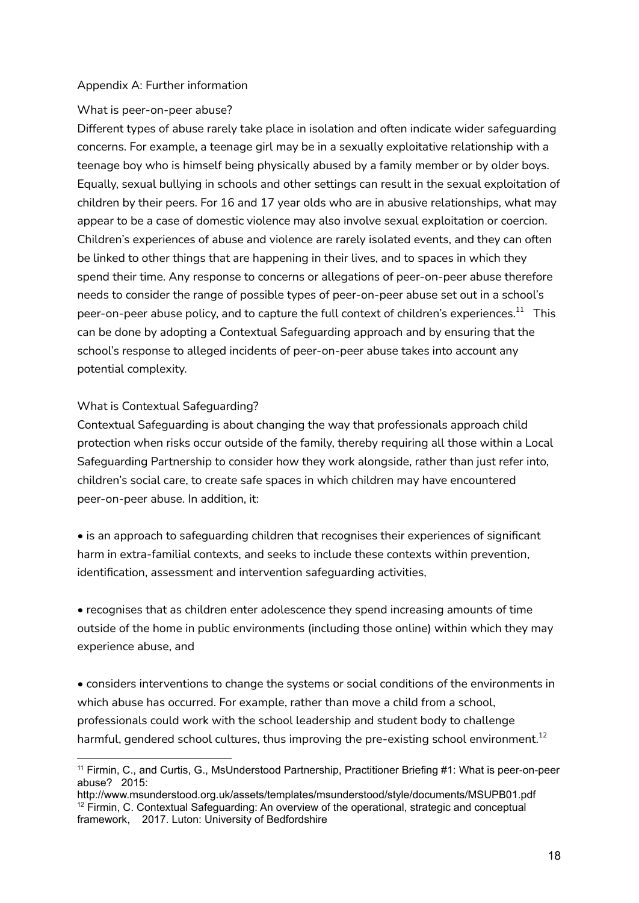## Appendix A: Further information

## What is peer-on-peer abuse?

Different types of abuse rarely take place in isolation and often indicate wider safeguarding concerns. For example, a teenage girl may be in a sexually exploitative relationship with a teenage boy who is himself being physically abused by a family member or by older boys. Equally, sexual bullying in schools and other settings can result in the sexual exploitation of children by their peers. For 16 and 17 year olds who are in abusive relationships, what may appear to be a case of domestic violence may also involve sexual exploitation or coercion. Children's experiences of abuse and violence are rarely isolated events, and they can often be linked to other things that are happening in their lives, and to spaces in which they spend their time. Any response to concerns or allegations of peer-on-peer abuse therefore needs to consider the range of possible types of peer-on-peer abuse set out in a school's peer-on-peer abuse policy, and to capture the full context of children's experiences. $^{\rm 11}$  This can be done by adopting a Contextual Safeguarding approach and by ensuring that the school's response to alleged incidents of peer-on-peer abuse takes into account any potential complexity.

## What is Contextual Safeguarding?

Contextual Safeguarding is about changing the way that professionals approach child protection when risks occur outside of the family, thereby requiring all those within a Local Safeguarding Partnership to consider how they work alongside, rather than just refer into, children's social care, to create safe spaces in which children may have encountered peer-on-peer abuse. In addition, it:

• is an approach to safeguarding children that recognises their experiences of significant harm in extra-familial contexts, and seeks to include these contexts within prevention, identification, assessment and intervention safeguarding activities,

• recognises that as children enter adolescence they spend increasing amounts of time outside of the home in public environments (including those online) within which they may experience abuse, and

• considers interventions to change the systems or social conditions of the environments in which abuse has occurred. For example, rather than move a child from a school, professionals could work with the school leadership and student body to challenge harmful, gendered school cultures, thus improving the pre-existing school environment. $^{12}$ 

<sup>&</sup>lt;sup>11</sup> Firmin, C., and Curtis, G., MsUnderstood Partnership, Practitioner Briefing #1: What is peer-on-peer abuse? 2015:

<sup>&</sup>lt;sup>12</sup> Firmin, C. Contextual Safeguarding: An overview of the operational, strategic and conceptual framework, 2017. Luton: University of Bedfordshire http://www.msunderstood.org.uk/assets/templates/msunderstood/style/documents/MSUPB01.pdf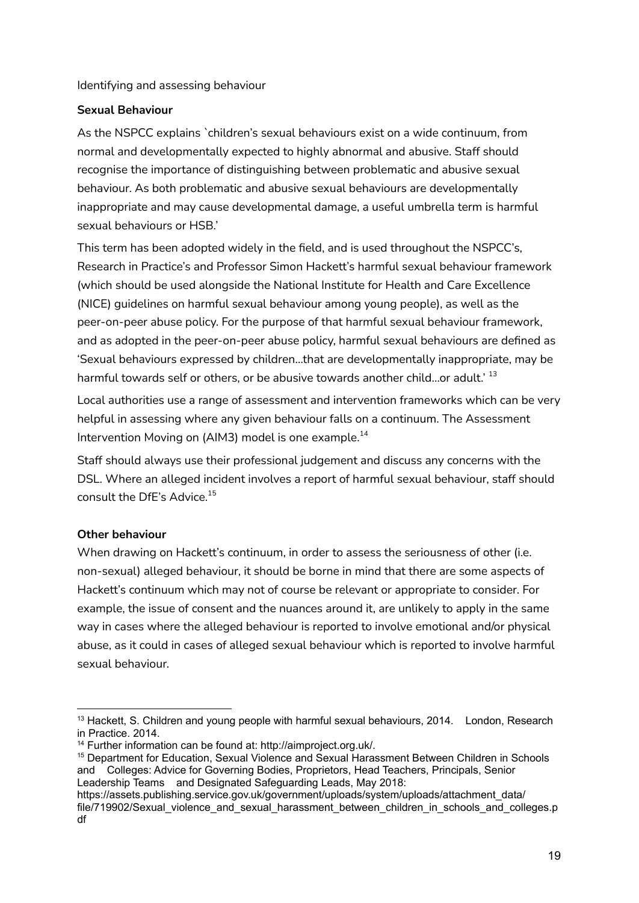Identifying and assessing behaviour

## **Sexual Behaviour**

As the NSPCC explains `children's sexual behaviours exist on a wide continuum, from normal and developmentally expected to highly abnormal and abusive. Staff should recognise the importance of distinguishing between problematic and abusive sexual behaviour. As both problematic and abusive sexual behaviours are developmentally inappropriate and may cause developmental damage, a useful umbrella term is harmful sexual behaviours or HSB.'

This term has been adopted widely in the field, and is used throughout the NSPCC's, Research in Practice's and Professor Simon Hackett's harmful sexual behaviour framework (which should be used alongside the National Institute for Health and Care Excellence (NICE) guidelines on harmful sexual behaviour among young people), as well as the peer-on-peer abuse policy. For the purpose of that harmful sexual behaviour framework, and as adopted in the peer-on-peer abuse policy, harmful sexual behaviours are defined as 'Sexual behaviours expressed by children…that are developmentally inappropriate, may be harmful towards self or others, or be abusive towards another child…or adult.'  $^{\rm 13}$ 

Local authorities use a range of assessment and intervention frameworks which can be very helpful in assessing where any given behaviour falls on a continuum. The Assessment Intervention Moving on (AIM3) model is one example. $^{\rm 14}$ 

Staff should always use their professional judgement and discuss any concerns with the DSL. Where an alleged incident involves a report of harmful sexual behaviour, staff should consult the DfE's Advice. 15

## **Other behaviour**

When drawing on Hackett's continuum, in order to assess the seriousness of other (i.e. non-sexual) alleged behaviour, it should be borne in mind that there are some aspects of Hackett's continuum which may not of course be relevant or appropriate to consider. For example, the issue of consent and the nuances around it, are unlikely to apply in the same way in cases where the alleged behaviour is reported to involve emotional and/or physical abuse, as it could in cases of alleged sexual behaviour which is reported to involve harmful sexual behaviour.

 $13$  Hackett, S. Children and young people with harmful sexual behaviours, 2014. London, Research in Practice. 2014.

<sup>14</sup> Further information can be found at: http://aimproject.org.uk/.

<sup>&</sup>lt;sup>15</sup> Department for Education, Sexual Violence and Sexual Harassment Between Children in Schools and Colleges: Advice for Governing Bodies, Proprietors, Head Teachers, Principals, Senior Leadership Teams and Designated Safeguarding Leads, May 2018:

https://assets.publishing.service.gov.uk/government/uploads/system/uploads/attachment\_data/ file/719902/Sexual\_violence\_and\_sexual\_harassment\_between\_children\_in\_schools\_and\_colleges.p df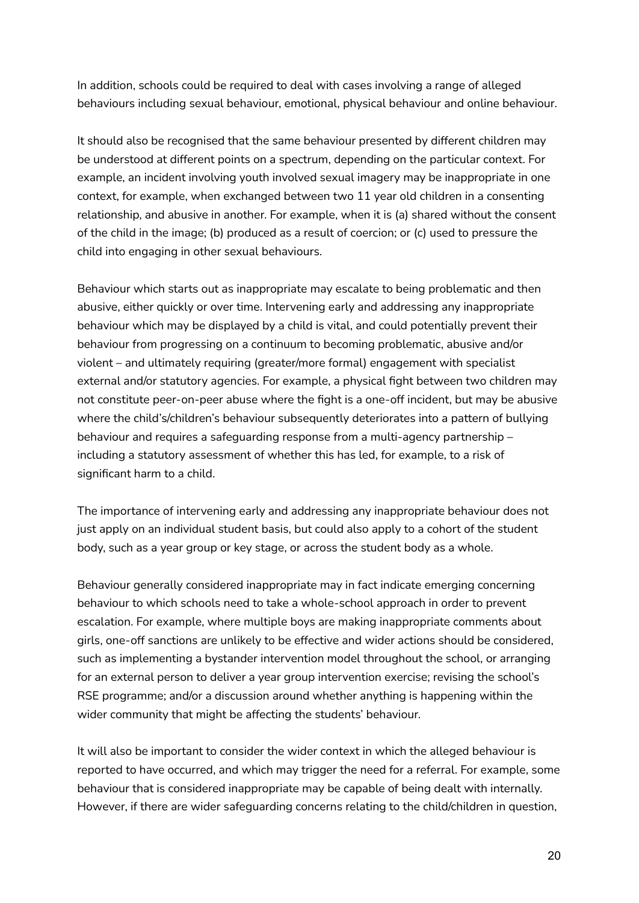In addition, schools could be required to deal with cases involving a range of alleged behaviours including sexual behaviour, emotional, physical behaviour and online behaviour.

It should also be recognised that the same behaviour presented by different children may be understood at different points on a spectrum, depending on the particular context. For example, an incident involving youth involved sexual imagery may be inappropriate in one context, for example, when exchanged between two 11 year old children in a consenting relationship, and abusive in another. For example, when it is (a) shared without the consent of the child in the image; (b) produced as a result of coercion; or (c) used to pressure the child into engaging in other sexual behaviours.

Behaviour which starts out as inappropriate may escalate to being problematic and then abusive, either quickly or over time. Intervening early and addressing any inappropriate behaviour which may be displayed by a child is vital, and could potentially prevent their behaviour from progressing on a continuum to becoming problematic, abusive and/or violent – and ultimately requiring (greater/more formal) engagement with specialist external and/or statutory agencies. For example, a physical fight between two children may not constitute peer-on-peer abuse where the fight is a one-off incident, but may be abusive where the child's/children's behaviour subsequently deteriorates into a pattern of bullying behaviour and requires a safeguarding response from a multi-agency partnership – including a statutory assessment of whether this has led, for example, to a risk of significant harm to a child.

The importance of intervening early and addressing any inappropriate behaviour does not just apply on an individual student basis, but could also apply to a cohort of the student body, such as a year group or key stage, or across the student body as a whole.

Behaviour generally considered inappropriate may in fact indicate emerging concerning behaviour to which schools need to take a whole-school approach in order to prevent escalation. For example, where multiple boys are making inappropriate comments about girls, one-off sanctions are unlikely to be effective and wider actions should be considered, such as implementing a bystander intervention model throughout the school, or arranging for an external person to deliver a year group intervention exercise; revising the school's RSE programme; and/or a discussion around whether anything is happening within the wider community that might be affecting the students' behaviour.

It will also be important to consider the wider context in which the alleged behaviour is reported to have occurred, and which may trigger the need for a referral. For example, some behaviour that is considered inappropriate may be capable of being dealt with internally. However, if there are wider safeguarding concerns relating to the child/children in question,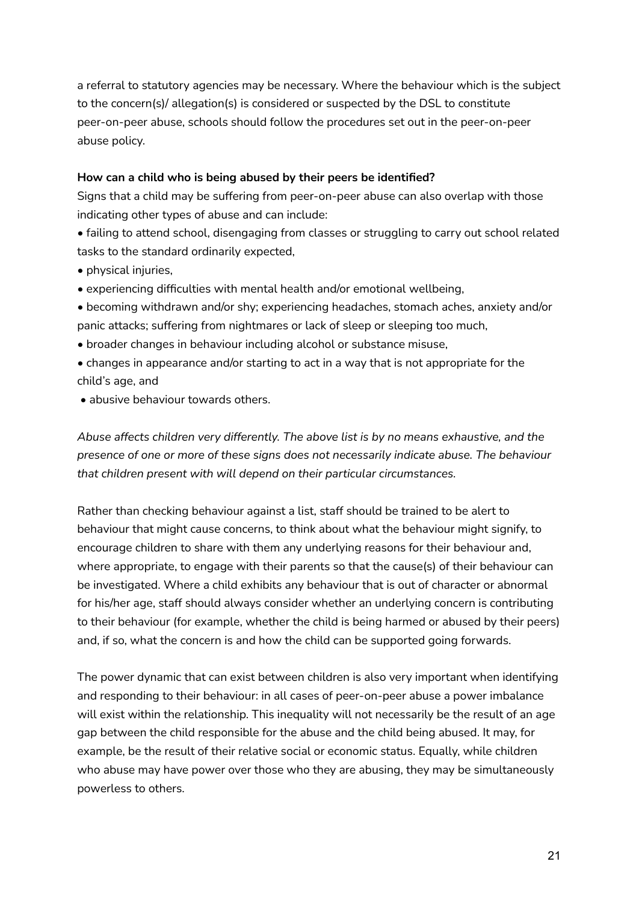a referral to statutory agencies may be necessary. Where the behaviour which is the subject to the concern(s)/ allegation(s) is considered or suspected by the DSL to constitute peer-on-peer abuse, schools should follow the procedures set out in the peer-on-peer abuse policy.

## **How can a child who is being abused by their peers be identified?**

Signs that a child may be suffering from peer-on-peer abuse can also overlap with those indicating other types of abuse and can include:

• failing to attend school, disengaging from classes or struggling to carry out school related tasks to the standard ordinarily expected,

- physical injuries,
- experiencing difficulties with mental health and/or emotional wellbeing,
- becoming withdrawn and/or shy; experiencing headaches, stomach aches, anxiety and/or panic attacks; suffering from nightmares or lack of sleep or sleeping too much,
- broader changes in behaviour including alcohol or substance misuse,
- changes in appearance and/or starting to act in a way that is not appropriate for the child's age, and
- abusive behaviour towards others.

*Abuse affects children very differently. The above list is by no means exhaustive, and the presence of one or more of these signs does not necessarily indicate abuse. The behaviour that children present with will depend on their particular circumstances.*

Rather than checking behaviour against a list, staff should be trained to be alert to behaviour that might cause concerns, to think about what the behaviour might signify, to encourage children to share with them any underlying reasons for their behaviour and, where appropriate, to engage with their parents so that the cause(s) of their behaviour can be investigated. Where a child exhibits any behaviour that is out of character or abnormal for his/her age, staff should always consider whether an underlying concern is contributing to their behaviour (for example, whether the child is being harmed or abused by their peers) and, if so, what the concern is and how the child can be supported going forwards.

The power dynamic that can exist between children is also very important when identifying and responding to their behaviour: in all cases of peer-on-peer abuse a power imbalance will exist within the relationship. This inequality will not necessarily be the result of an age gap between the child responsible for the abuse and the child being abused. It may, for example, be the result of their relative social or economic status. Equally, while children who abuse may have power over those who they are abusing, they may be simultaneously powerless to others.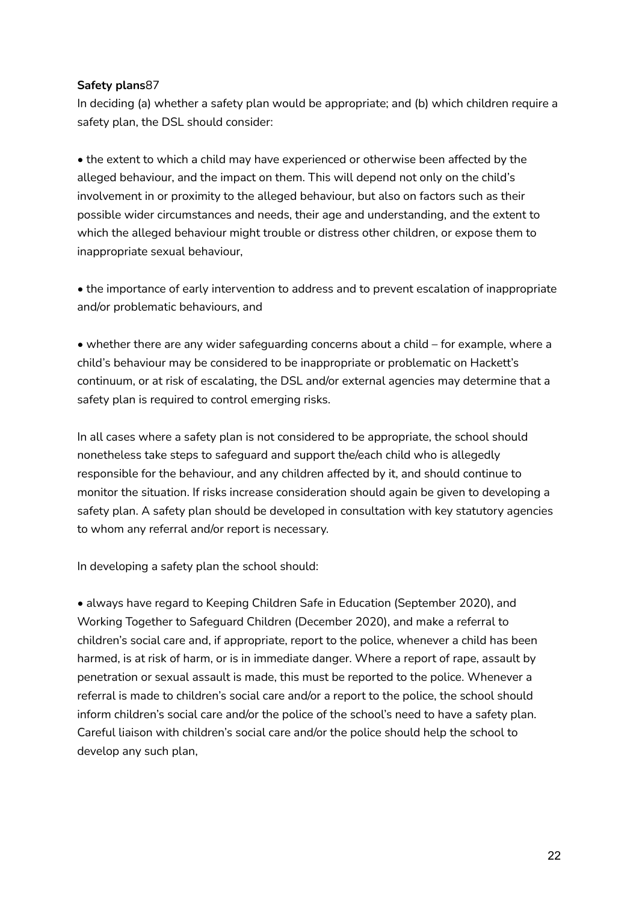## **Safety plans**87

In deciding (a) whether a safety plan would be appropriate; and (b) which children require a safety plan, the DSL should consider:

• the extent to which a child may have experienced or otherwise been affected by the alleged behaviour, and the impact on them. This will depend not only on the child's involvement in or proximity to the alleged behaviour, but also on factors such as their possible wider circumstances and needs, their age and understanding, and the extent to which the alleged behaviour might trouble or distress other children, or expose them to inappropriate sexual behaviour,

• the importance of early intervention to address and to prevent escalation of inappropriate and/or problematic behaviours, and

• whether there are any wider safeguarding concerns about a child – for example, where a child's behaviour may be considered to be inappropriate or problematic on Hackett's continuum, or at risk of escalating, the DSL and/or external agencies may determine that a safety plan is required to control emerging risks.

In all cases where a safety plan is not considered to be appropriate, the school should nonetheless take steps to safeguard and support the/each child who is allegedly responsible for the behaviour, and any children affected by it, and should continue to monitor the situation. If risks increase consideration should again be given to developing a safety plan. A safety plan should be developed in consultation with key statutory agencies to whom any referral and/or report is necessary.

In developing a safety plan the school should:

• always have regard to Keeping Children Safe in Education (September 2020), and Working Together to Safeguard Children (December 2020), and make a referral to children's social care and, if appropriate, report to the police, whenever a child has been harmed, is at risk of harm, or is in immediate danger. Where a report of rape, assault by penetration or sexual assault is made, this must be reported to the police. Whenever a referral is made to children's social care and/or a report to the police, the school should inform children's social care and/or the police of the school's need to have a safety plan. Careful liaison with children's social care and/or the police should help the school to develop any such plan,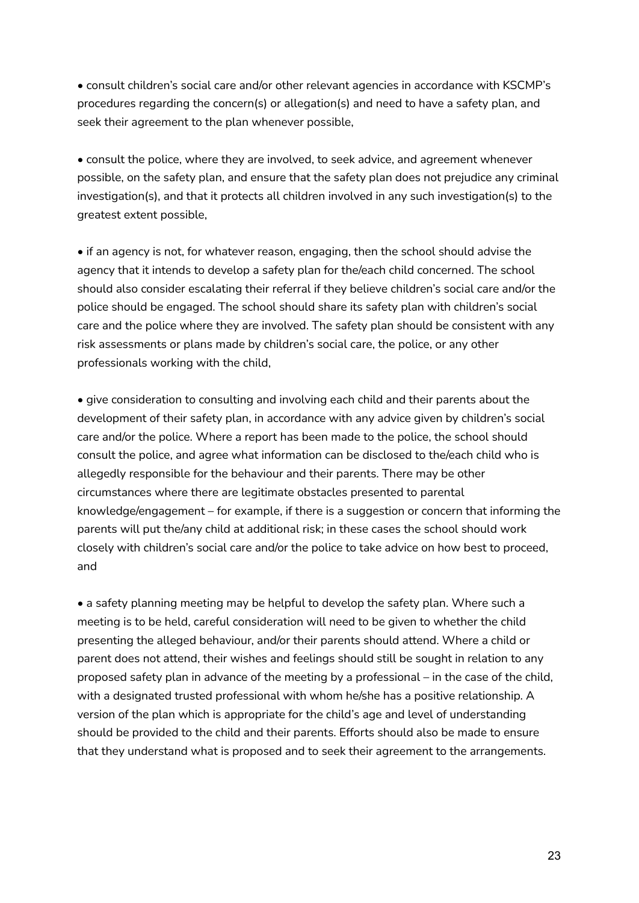• consult children's social care and/or other relevant agencies in accordance with KSCMP's procedures regarding the concern(s) or allegation(s) and need to have a safety plan, and seek their agreement to the plan whenever possible,

• consult the police, where they are involved, to seek advice, and agreement whenever possible, on the safety plan, and ensure that the safety plan does not prejudice any criminal investigation(s), and that it protects all children involved in any such investigation(s) to the greatest extent possible,

• if an agency is not, for whatever reason, engaging, then the school should advise the agency that it intends to develop a safety plan for the/each child concerned. The school should also consider escalating their referral if they believe children's social care and/or the police should be engaged. The school should share its safety plan with children's social care and the police where they are involved. The safety plan should be consistent with any risk assessments or plans made by children's social care, the police, or any other professionals working with the child,

• give consideration to consulting and involving each child and their parents about the development of their safety plan, in accordance with any advice given by children's social care and/or the police. Where a report has been made to the police, the school should consult the police, and agree what information can be disclosed to the/each child who is allegedly responsible for the behaviour and their parents. There may be other circumstances where there are legitimate obstacles presented to parental knowledge/engagement – for example, if there is a suggestion or concern that informing the parents will put the/any child at additional risk; in these cases the school should work closely with children's social care and/or the police to take advice on how best to proceed, and

• a safety planning meeting may be helpful to develop the safety plan. Where such a meeting is to be held, careful consideration will need to be given to whether the child presenting the alleged behaviour, and/or their parents should attend. Where a child or parent does not attend, their wishes and feelings should still be sought in relation to any proposed safety plan in advance of the meeting by a professional – in the case of the child, with a designated trusted professional with whom he/she has a positive relationship. A version of the plan which is appropriate for the child's age and level of understanding should be provided to the child and their parents. Efforts should also be made to ensure that they understand what is proposed and to seek their agreement to the arrangements.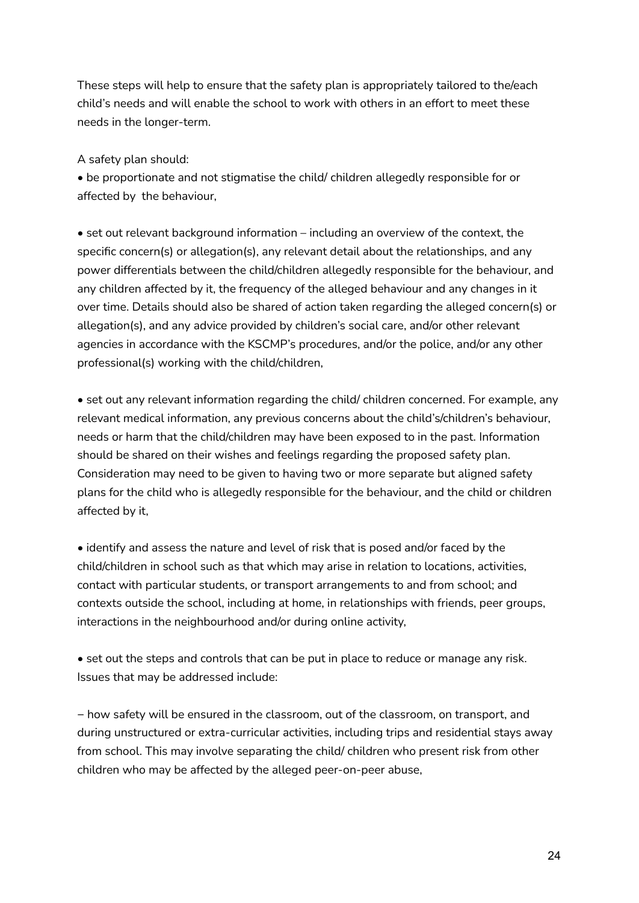These steps will help to ensure that the safety plan is appropriately tailored to the/each child's needs and will enable the school to work with others in an effort to meet these needs in the longer-term.

A safety plan should:

• be proportionate and not stigmatise the child/ children allegedly responsible for or affected by the behaviour,

• set out relevant background information – including an overview of the context, the specific concern(s) or allegation(s), any relevant detail about the relationships, and any power differentials between the child/children allegedly responsible for the behaviour, and any children affected by it, the frequency of the alleged behaviour and any changes in it over time. Details should also be shared of action taken regarding the alleged concern(s) or allegation(s), and any advice provided by children's social care, and/or other relevant agencies in accordance with the KSCMP's procedures, and/or the police, and/or any other professional(s) working with the child/children,

• set out any relevant information regarding the child/ children concerned. For example, any relevant medical information, any previous concerns about the child's/children's behaviour, needs or harm that the child/children may have been exposed to in the past. Information should be shared on their wishes and feelings regarding the proposed safety plan. Consideration may need to be given to having two or more separate but aligned safety plans for the child who is allegedly responsible for the behaviour, and the child or children affected by it,

• identify and assess the nature and level of risk that is posed and/or faced by the child/children in school such as that which may arise in relation to locations, activities, contact with particular students, or transport arrangements to and from school; and contexts outside the school, including at home, in relationships with friends, peer groups, interactions in the neighbourhood and/or during online activity,

• set out the steps and controls that can be put in place to reduce or manage any risk. Issues that may be addressed include:

− how safety will be ensured in the classroom, out of the classroom, on transport, and during unstructured or extra-curricular activities, including trips and residential stays away from school. This may involve separating the child/ children who present risk from other children who may be affected by the alleged peer-on-peer abuse,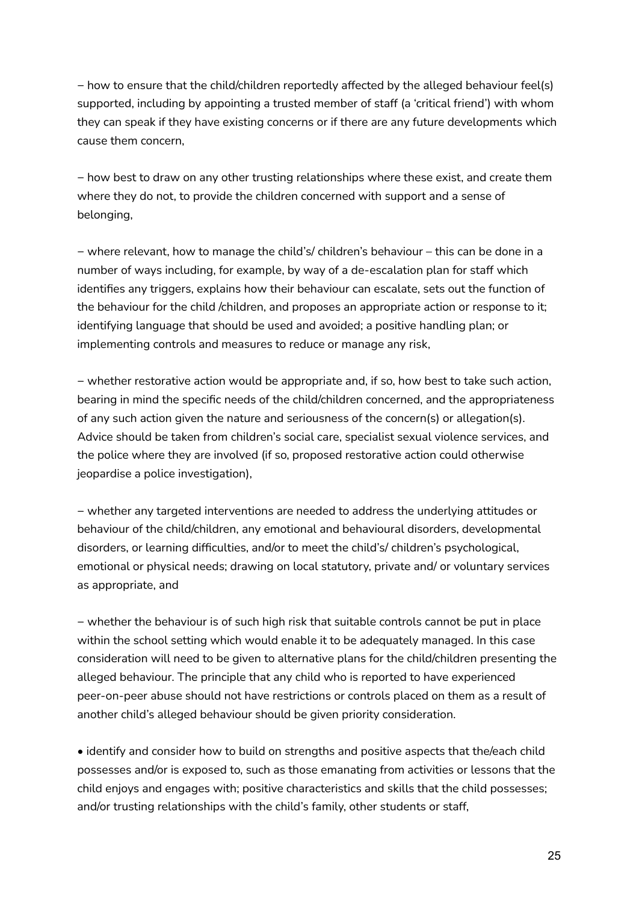− how to ensure that the child/children reportedly affected by the alleged behaviour feel(s) supported, including by appointing a trusted member of staff (a 'critical friend') with whom they can speak if they have existing concerns or if there are any future developments which cause them concern,

− how best to draw on any other trusting relationships where these exist, and create them where they do not, to provide the children concerned with support and a sense of belonging,

− where relevant, how to manage the child's/ children's behaviour – this can be done in a number of ways including, for example, by way of a de-escalation plan for staff which identifies any triggers, explains how their behaviour can escalate, sets out the function of the behaviour for the child /children, and proposes an appropriate action or response to it; identifying language that should be used and avoided; a positive handling plan; or implementing controls and measures to reduce or manage any risk,

− whether restorative action would be appropriate and, if so, how best to take such action, bearing in mind the specific needs of the child/children concerned, and the appropriateness of any such action given the nature and seriousness of the concern(s) or allegation(s). Advice should be taken from children's social care, specialist sexual violence services, and the police where they are involved (if so, proposed restorative action could otherwise jeopardise a police investigation),

− whether any targeted interventions are needed to address the underlying attitudes or behaviour of the child/children, any emotional and behavioural disorders, developmental disorders, or learning difficulties, and/or to meet the child's/ children's psychological, emotional or physical needs; drawing on local statutory, private and/ or voluntary services as appropriate, and

− whether the behaviour is of such high risk that suitable controls cannot be put in place within the school setting which would enable it to be adequately managed. In this case consideration will need to be given to alternative plans for the child/children presenting the alleged behaviour. The principle that any child who is reported to have experienced peer-on-peer abuse should not have restrictions or controls placed on them as a result of another child's alleged behaviour should be given priority consideration.

• identify and consider how to build on strengths and positive aspects that the/each child possesses and/or is exposed to, such as those emanating from activities or lessons that the child enjoys and engages with; positive characteristics and skills that the child possesses; and/or trusting relationships with the child's family, other students or staff,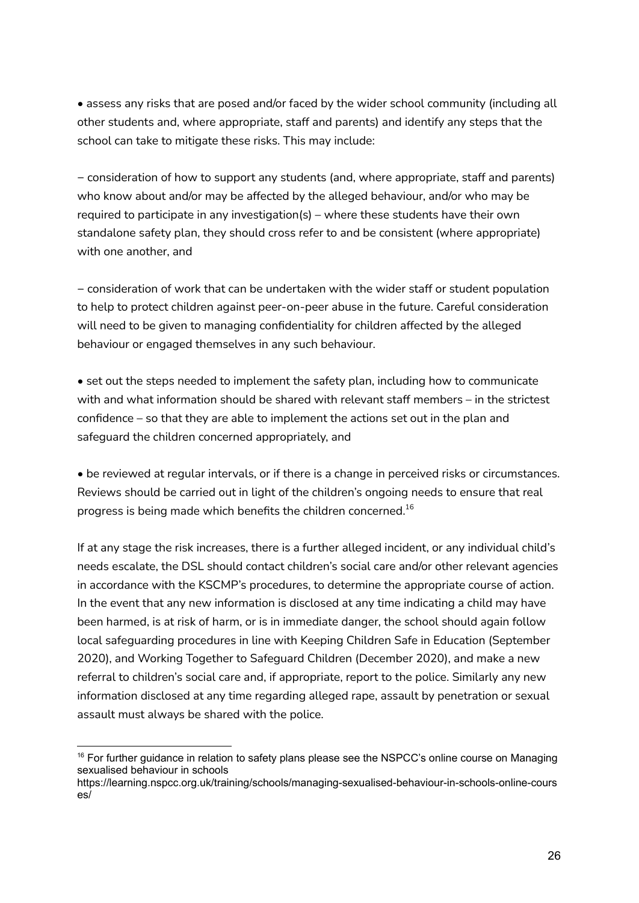• assess any risks that are posed and/or faced by the wider school community (including all other students and, where appropriate, staff and parents) and identify any steps that the school can take to mitigate these risks. This may include:

− consideration of how to support any students (and, where appropriate, staff and parents) who know about and/or may be affected by the alleged behaviour, and/or who may be required to participate in any investigation(s) – where these students have their own standalone safety plan, they should cross refer to and be consistent (where appropriate) with one another, and

− consideration of work that can be undertaken with the wider staff or student population to help to protect children against peer-on-peer abuse in the future. Careful consideration will need to be given to managing confidentiality for children affected by the alleged behaviour or engaged themselves in any such behaviour.

• set out the steps needed to implement the safety plan, including how to communicate with and what information should be shared with relevant staff members – in the strictest confidence – so that they are able to implement the actions set out in the plan and safeguard the children concerned appropriately, and

• be reviewed at regular intervals, or if there is a change in perceived risks or circumstances. Reviews should be carried out in light of the children's ongoing needs to ensure that real progress is being made which benefits the children concerned. $^{16}$ 

If at any stage the risk increases, there is a further alleged incident, or any individual child's needs escalate, the DSL should contact children's social care and/or other relevant agencies in accordance with the KSCMP's procedures, to determine the appropriate course of action. In the event that any new information is disclosed at any time indicating a child may have been harmed, is at risk of harm, or is in immediate danger, the school should again follow local safeguarding procedures in line with Keeping Children Safe in Education (September 2020), and Working Together to Safeguard Children (December 2020), and make a new referral to children's social care and, if appropriate, report to the police. Similarly any new information disclosed at any time regarding alleged rape, assault by penetration or sexual assault must always be shared with the police.

<sup>&</sup>lt;sup>16</sup> For further guidance in relation to safety plans please see the NSPCC's online course on Managing sexualised behaviour in schools

https://learning.nspcc.org.uk/training/schools/managing-sexualised-behaviour-in-schools-online-cours es/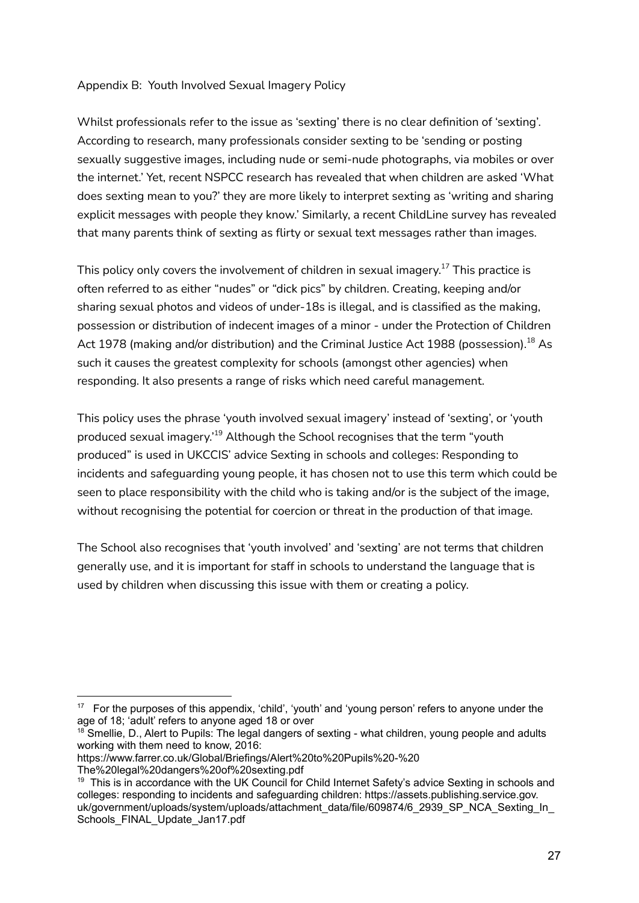## Appendix B: Youth Involved Sexual Imagery Policy

Whilst professionals refer to the issue as 'sexting' there is no clear definition of 'sexting'. According to research, many professionals consider sexting to be 'sending or posting sexually suggestive images, including nude or semi-nude photographs, via mobiles or over the internet.' Yet, recent NSPCC research has revealed that when children are asked 'What does sexting mean to you?' they are more likely to interpret sexting as 'writing and sharing explicit messages with people they know.' Similarly, a recent ChildLine survey has revealed that many parents think of sexting as flirty or sexual text messages rather than images.

This policy only covers the involvement of children in sexual imagery. $^{17}$  This practice is often referred to as either "nudes" or "dick pics" by children. Creating, keeping and/or sharing sexual photos and videos of under-18s is illegal, and is classified as the making, possession or distribution of indecent images of a minor - under the Protection of Children Act 1978 (making and/or distribution) and the Criminal Justice Act 1988 (possession). $^{18}$  As such it causes the greatest complexity for schools (amongst other agencies) when responding. It also presents a range of risks which need careful management.

This policy uses the phrase 'youth involved sexual imagery' instead of 'sexting', or 'youth produced sexual imagery.'<sup>19</sup> Although the School recognises that the term "youth produced" is used in UKCCIS' advice Sexting in schools and colleges: Responding to incidents and safeguarding young people, it has chosen not to use this term which could be seen to place responsibility with the child who is taking and/or is the subject of the image, without recognising the potential for coercion or threat in the production of that image.

The School also recognises that 'youth involved' and 'sexting' are not terms that children generally use, and it is important for staff in schools to understand the language that is used by children when discussing this issue with them or creating a policy.

https://www.farrer.co.uk/Global/Briefings/Alert%20to%20Pupils%20-%20 The%20legal%20dangers%20of%20sexting.pdf

<sup>&</sup>lt;sup>17</sup> For the purposes of this appendix, 'child', 'youth' and 'young person' refers to anyone under the age of 18; 'adult' refers to anyone aged 18 or over

<sup>&</sup>lt;sup>18</sup> Smellie, D., Alert to Pupils: The legal dangers of sexting - what children, young people and adults working with them need to know, 2016:

<sup>19</sup> This is in accordance with the UK Council for Child Internet Safety's advice Sexting in schools and colleges: responding to incidents and safeguarding children: https://assets.publishing.service.gov. uk/government/uploads/system/uploads/attachment\_data/file/609874/6\_2939\_SP\_NCA\_Sexting\_In\_ Schools\_FINAL\_Update\_Jan17.pdf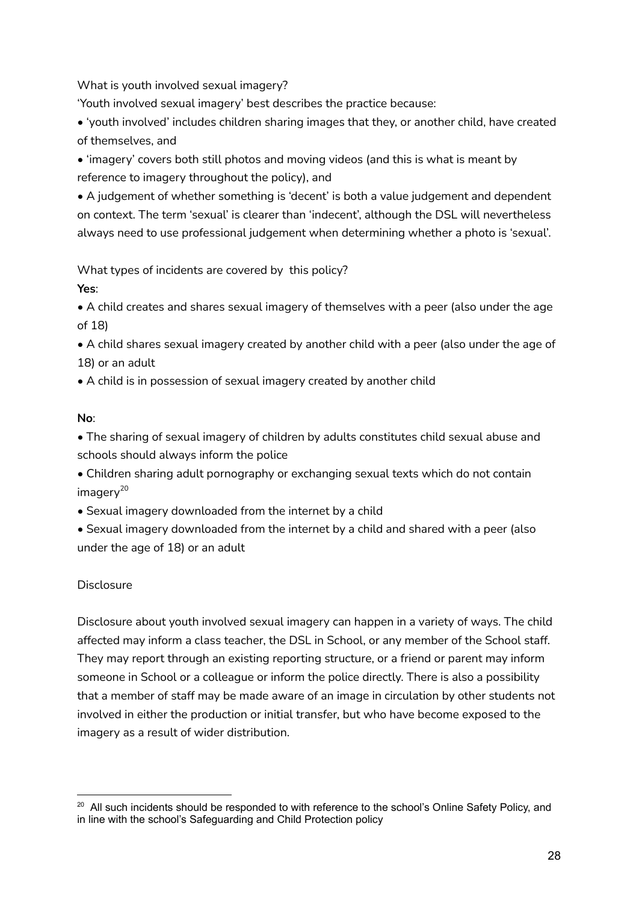What is youth involved sexual imagery?

'Youth involved sexual imagery' best describes the practice because:

• 'youth involved' includes children sharing images that they, or another child, have created of themselves, and

• 'imagery' covers both still photos and moving videos (and this is what is meant by reference to imagery throughout the policy), and

• A judgement of whether something is 'decent' is both a value judgement and dependent on context. The term 'sexual' is clearer than 'indecent', although the DSL will nevertheless always need to use professional judgement when determining whether a photo is 'sexual'.

What types of incidents are covered by this policy?

## **Yes**:

• A child creates and shares sexual imagery of themselves with a peer (also under the age of 18)

• A child shares sexual imagery created by another child with a peer (also under the age of 18) or an adult

• A child is in possession of sexual imagery created by another child

# **No**:

• The sharing of sexual imagery of children by adults constitutes child sexual abuse and schools should always inform the police

• Children sharing adult pornography or exchanging sexual texts which do not contain imagery 20

- Sexual imagery downloaded from the internet by a child
- Sexual imagery downloaded from the internet by a child and shared with a peer (also under the age of 18) or an adult

# Disclosure

Disclosure about youth involved sexual imagery can happen in a variety of ways. The child affected may inform a class teacher, the DSL in School, or any member of the School staff. They may report through an existing reporting structure, or a friend or parent may inform someone in School or a colleague or inform the police directly. There is also a possibility that a member of staff may be made aware of an image in circulation by other students not involved in either the production or initial transfer, but who have become exposed to the imagery as a result of wider distribution.

<sup>&</sup>lt;sup>20</sup> All such incidents should be responded to with reference to the school's Online Safety Policy, and in line with the school's Safeguarding and Child Protection policy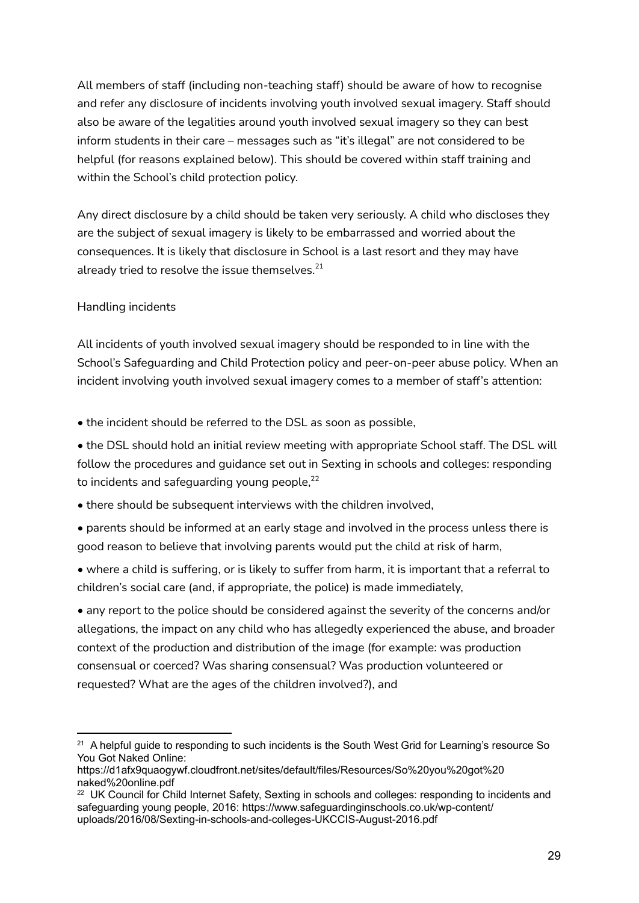All members of staff (including non-teaching staff) should be aware of how to recognise and refer any disclosure of incidents involving youth involved sexual imagery. Staff should also be aware of the legalities around youth involved sexual imagery so they can best inform students in their care – messages such as "it's illegal" are not considered to be helpful (for reasons explained below). This should be covered within staff training and within the School's child protection policy.

Any direct disclosure by a child should be taken very seriously. A child who discloses they are the subject of sexual imagery is likely to be embarrassed and worried about the consequences. It is likely that disclosure in School is a last resort and they may have already tried to resolve the issue themselves. $^{\mathrm{21}}$ 

## Handling incidents

All incidents of youth involved sexual imagery should be responded to in line with the School's Safeguarding and Child Protection policy and peer-on-peer abuse policy. When an incident involving youth involved sexual imagery comes to a member of staff's attention:

• the incident should be referred to the DSL as soon as possible,

• the DSL should hold an initial review meeting with appropriate School staff. The DSL will follow the procedures and guidance set out in Sexting in schools and colleges: responding to incidents and safeguarding young people, $^{22}$ 

• there should be subsequent interviews with the children involved,

• parents should be informed at an early stage and involved in the process unless there is good reason to believe that involving parents would put the child at risk of harm,

• where a child is suffering, or is likely to suffer from harm, it is important that a referral to children's social care (and, if appropriate, the police) is made immediately,

• any report to the police should be considered against the severity of the concerns and/or allegations, the impact on any child who has allegedly experienced the abuse, and broader context of the production and distribution of the image (for example: was production consensual or coerced? Was sharing consensual? Was production volunteered or requested? What are the ages of the children involved?), and

 $21$  A helpful guide to responding to such incidents is the South West Grid for Learning's resource So You Got Naked Online:

https://d1afx9quaogywf.cloudfront.net/sites/default/files/Resources/So%20you%20got%20 naked%20online.pdf

<sup>&</sup>lt;sup>22</sup> UK Council for Child Internet Safety, Sexting in schools and colleges: responding to incidents and safeguarding young people, 2016: https://www.safeguardinginschools.co.uk/wp-content/ uploads/2016/08/Sexting-in-schools-and-colleges-UKCCIS-August-2016.pdf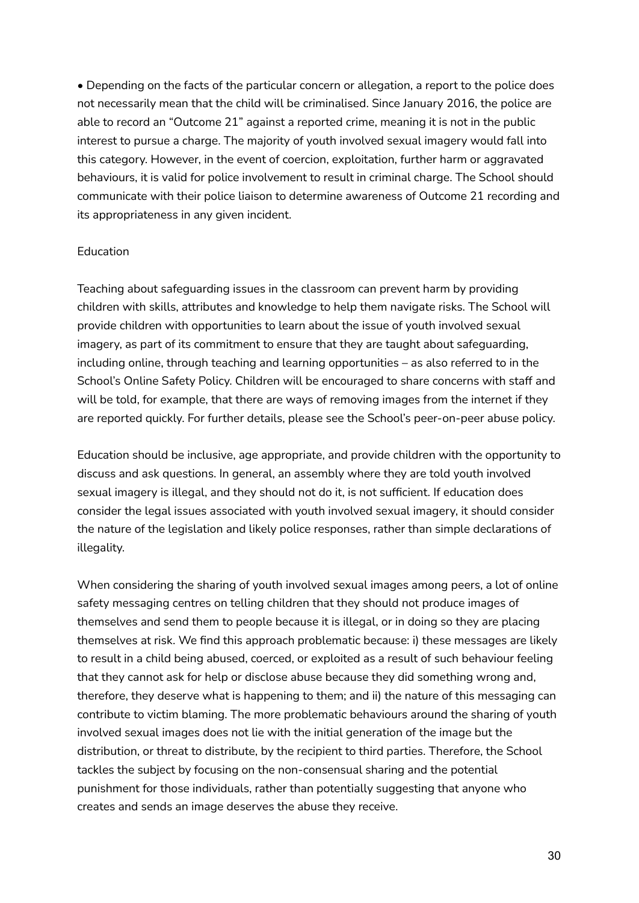• Depending on the facts of the particular concern or allegation, a report to the police does not necessarily mean that the child will be criminalised. Since January 2016, the police are able to record an "Outcome 21" against a reported crime, meaning it is not in the public interest to pursue a charge. The majority of youth involved sexual imagery would fall into this category. However, in the event of coercion, exploitation, further harm or aggravated behaviours, it is valid for police involvement to result in criminal charge. The School should communicate with their police liaison to determine awareness of Outcome 21 recording and its appropriateness in any given incident.

#### Education

Teaching about safeguarding issues in the classroom can prevent harm by providing children with skills, attributes and knowledge to help them navigate risks. The School will provide children with opportunities to learn about the issue of youth involved sexual imagery, as part of its commitment to ensure that they are taught about safeguarding, including online, through teaching and learning opportunities – as also referred to in the School's Online Safety Policy. Children will be encouraged to share concerns with staff and will be told, for example, that there are ways of removing images from the internet if they are reported quickly. For further details, please see the School's peer-on-peer abuse policy.

Education should be inclusive, age appropriate, and provide children with the opportunity to discuss and ask questions. In general, an assembly where they are told youth involved sexual imagery is illegal, and they should not do it, is not sufficient. If education does consider the legal issues associated with youth involved sexual imagery, it should consider the nature of the legislation and likely police responses, rather than simple declarations of illegality.

When considering the sharing of youth involved sexual images among peers, a lot of online safety messaging centres on telling children that they should not produce images of themselves and send them to people because it is illegal, or in doing so they are placing themselves at risk. We find this approach problematic because: i) these messages are likely to result in a child being abused, coerced, or exploited as a result of such behaviour feeling that they cannot ask for help or disclose abuse because they did something wrong and, therefore, they deserve what is happening to them; and ii) the nature of this messaging can contribute to victim blaming. The more problematic behaviours around the sharing of youth involved sexual images does not lie with the initial generation of the image but the distribution, or threat to distribute, by the recipient to third parties. Therefore, the School tackles the subject by focusing on the non-consensual sharing and the potential punishment for those individuals, rather than potentially suggesting that anyone who creates and sends an image deserves the abuse they receive.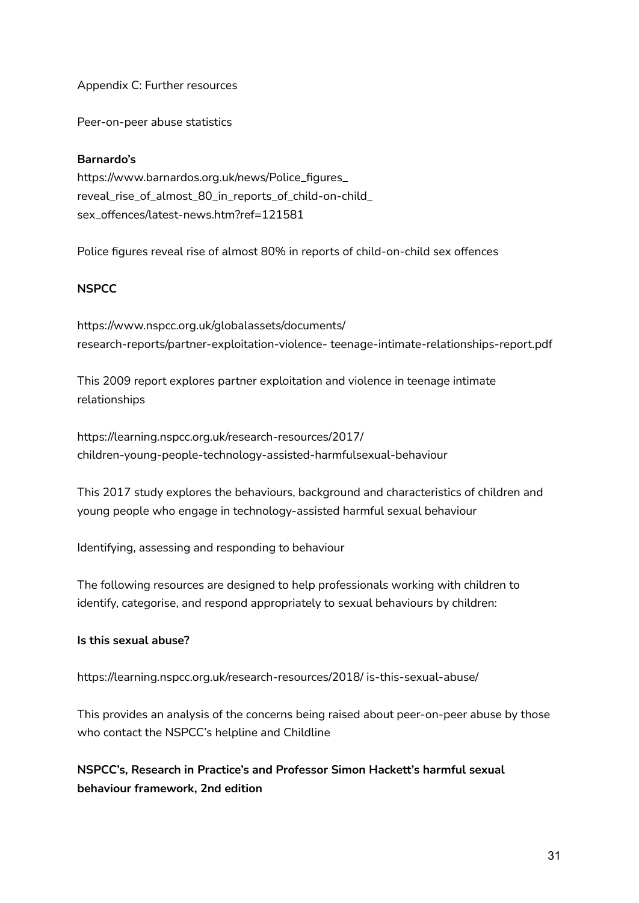Appendix C: Further resources

Peer-on-peer abuse statistics

## **Barnardo's**

https://www.barnardos.org.uk/news/Police\_figures\_ reveal\_rise\_of\_almost\_80\_in\_reports\_of\_child-on-child\_ sex\_offences/latest-news.htm?ref=121581

Police figures reveal rise of almost 80% in reports of child-on-child sex offences

## **NSPCC**

https://www.nspcc.org.uk/globalassets/documents/ research-reports/partner-exploitation-violence- teenage-intimate-relationships-report.pdf

This 2009 report explores partner exploitation and violence in teenage intimate relationships

https://learning.nspcc.org.uk/research-resources/2017/ children-young-people-technology-assisted-harmfulsexual-behaviour

This 2017 study explores the behaviours, background and characteristics of children and young people who engage in technology-assisted harmful sexual behaviour

Identifying, assessing and responding to behaviour

The following resources are designed to help professionals working with children to identify, categorise, and respond appropriately to sexual behaviours by children:

## **Is this sexual abuse?**

https://learning.nspcc.org.uk/research-resources/2018/ is-this-sexual-abuse/

This provides an analysis of the concerns being raised about peer-on-peer abuse by those who contact the NSPCC's helpline and Childline

**NSPCC's, Research in Practice's and Professor Simon Hackett's harmful sexual behaviour framework, 2nd edition**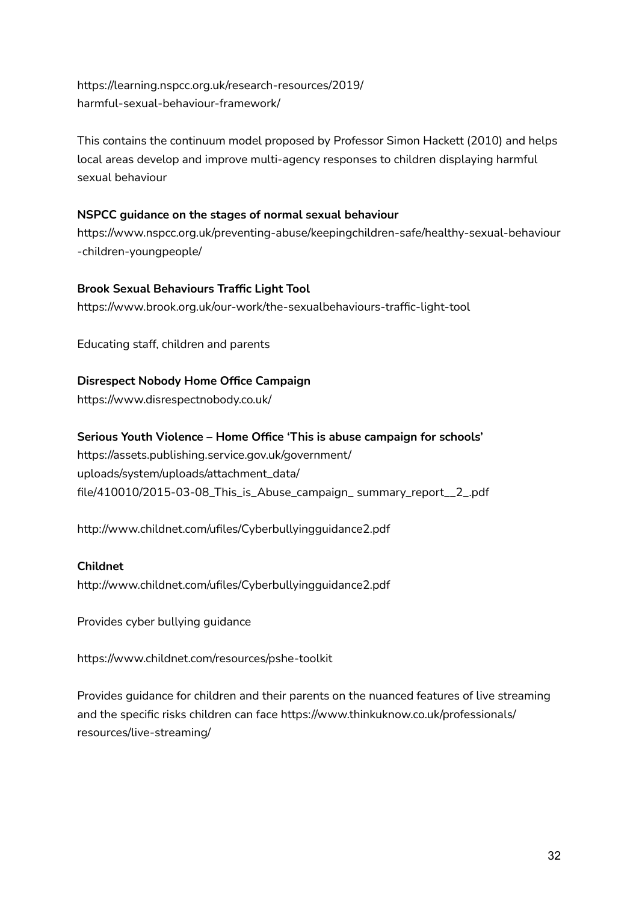https://learning.nspcc.org.uk/research-resources/2019/ harmful-sexual-behaviour-framework/

This contains the continuum model proposed by Professor Simon Hackett (2010) and helps local areas develop and improve multi-agency responses to children displaying harmful sexual behaviour

## **NSPCC guidance on the stages of normal sexual behaviour**

https://www.nspcc.org.uk/preventing-abuse/keepingchildren-safe/healthy-sexual-behaviour -children-youngpeople/

## **Brook Sexual Behaviours Traffic Light Tool**

https://www.brook.org.uk/our-work/the-sexualbehaviours-traffic-light-tool

Educating staff, children and parents

## **Disrespect Nobody Home Office Campaign**

https://www.disrespectnobody.co.uk/

## **Serious Youth Violence – Home Office 'This is abuse campaign for schools'**

https://assets.publishing.service.gov.uk/government/ uploads/system/uploads/attachment\_data/ file/410010/2015-03-08\_This\_is\_Abuse\_campaign\_ summary\_report\_\_2\_.pdf

http://www.childnet.com/ufiles/Cyberbullyingguidance2.pdf

## **Childnet**

http://www.childnet.com/ufiles/Cyberbullyingguidance2.pdf

Provides cyber bullying guidance

https://www.childnet.com/resources/pshe-toolkit

Provides guidance for children and their parents on the nuanced features of live streaming and the specific risks children can face https://www.thinkuknow.co.uk/professionals/ resources/live-streaming/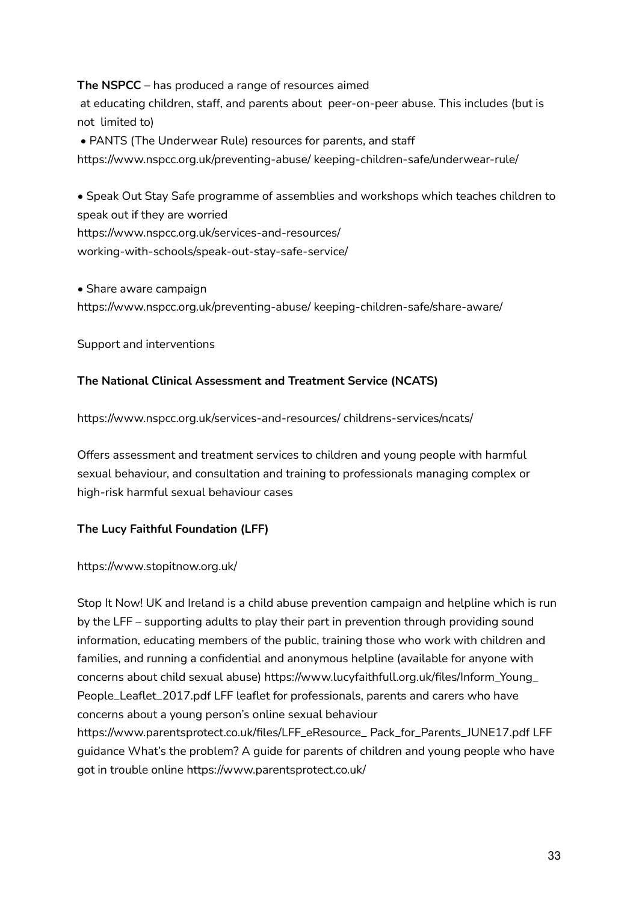## **The NSPCC** – has produced a range of resources aimed

at educating children, staff, and parents about peer-on-peer abuse. This includes (but is not limited to)

• PANTS (The Underwear Rule) resources for parents, and staff

https://www.nspcc.org.uk/preventing-abuse/ keeping-children-safe/underwear-rule/

• Speak Out Stay Safe programme of assemblies and workshops which teaches children to speak out if they are worried

https://www.nspcc.org.uk/services-and-resources/

working-with-schools/speak-out-stay-safe-service/

• Share aware campaign

https://www.nspcc.org.uk/preventing-abuse/ keeping-children-safe/share-aware/

Support and interventions

## **The National Clinical Assessment and Treatment Service (NCATS)**

https://www.nspcc.org.uk/services-and-resources/ childrens-services/ncats/

Offers assessment and treatment services to children and young people with harmful sexual behaviour, and consultation and training to professionals managing complex or high-risk harmful sexual behaviour cases

## **The Lucy Faithful Foundation (LFF)**

## https://www.stopitnow.org.uk/

Stop It Now! UK and Ireland is a child abuse prevention campaign and helpline which is run by the LFF – supporting adults to play their part in prevention through providing sound information, educating members of the public, training those who work with children and families, and running a confidential and anonymous helpline (available for anyone with concerns about child sexual abuse) https://www.lucyfaithfull.org.uk/files/Inform\_Young\_ People\_Leaflet\_2017.pdf LFF leaflet for professionals, parents and carers who have concerns about a young person's online sexual behaviour https://www.parentsprotect.co.uk/files/LFF\_eResource\_ Pack\_for\_Parents\_JUNE17.pdf LFF guidance What's the problem? A guide for parents of children and young people who have got in trouble online https://www.parentsprotect.co.uk/